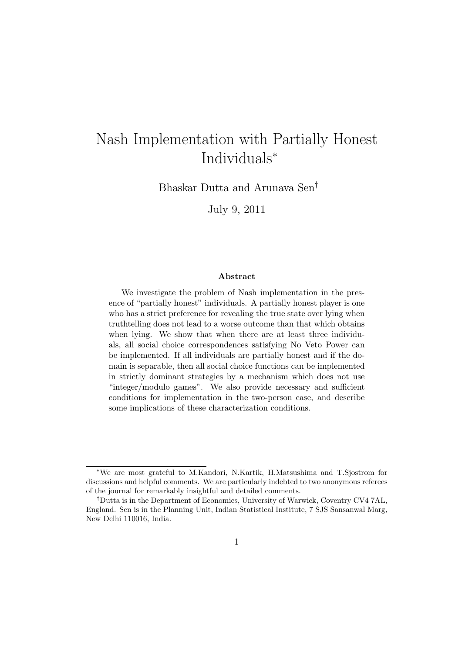# Nash Implementation with Partially Honest Individuals<sup>∗</sup>

Bhaskar Dutta and Arunava Sen†

July 9, 2011

#### Abstract

We investigate the problem of Nash implementation in the presence of "partially honest" individuals. A partially honest player is one who has a strict preference for revealing the true state over lying when truthtelling does not lead to a worse outcome than that which obtains when lying. We show that when there are at least three individuals, all social choice correspondences satisfying No Veto Power can be implemented. If all individuals are partially honest and if the domain is separable, then all social choice functions can be implemented in strictly dominant strategies by a mechanism which does not use "integer/modulo games". We also provide necessary and sufficient conditions for implementation in the two-person case, and describe some implications of these characterization conditions.

<sup>∗</sup>We are most grateful to M.Kandori, N.Kartik, H.Matsushima and T.Sjostrom for discussions and helpful comments. We are particularly indebted to two anonymous referees of the journal for remarkably insightful and detailed comments.

<sup>†</sup>Dutta is in the Department of Economics, University of Warwick, Coventry CV4 7AL, England. Sen is in the Planning Unit, Indian Statistical Institute, 7 SJS Sansanwal Marg, New Delhi 110016, India.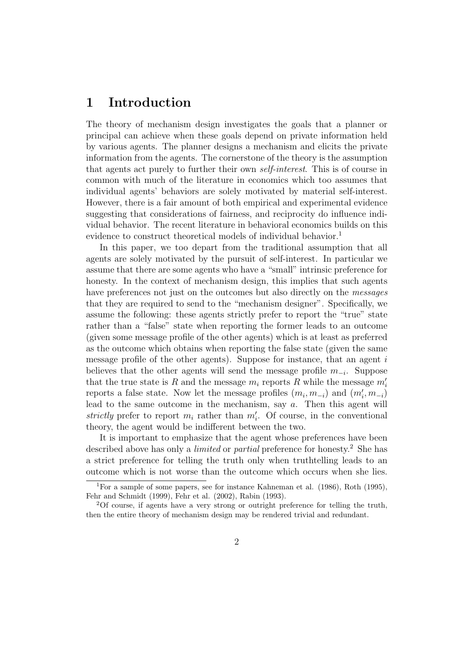### 1 Introduction

The theory of mechanism design investigates the goals that a planner or principal can achieve when these goals depend on private information held by various agents. The planner designs a mechanism and elicits the private information from the agents. The cornerstone of the theory is the assumption that agents act purely to further their own self-interest. This is of course in common with much of the literature in economics which too assumes that individual agents' behaviors are solely motivated by material self-interest. However, there is a fair amount of both empirical and experimental evidence suggesting that considerations of fairness, and reciprocity do influence individual behavior. The recent literature in behavioral economics builds on this evidence to construct theoretical models of individual behavior.<sup>1</sup>

In this paper, we too depart from the traditional assumption that all agents are solely motivated by the pursuit of self-interest. In particular we assume that there are some agents who have a "small" intrinsic preference for honesty. In the context of mechanism design, this implies that such agents have preferences not just on the outcomes but also directly on the *messages* that they are required to send to the "mechanism designer". Specifically, we assume the following: these agents strictly prefer to report the "true" state rather than a "false" state when reporting the former leads to an outcome (given some message profile of the other agents) which is at least as preferred as the outcome which obtains when reporting the false state (given the same message profile of the other agents). Suppose for instance, that an agent  $i$ believes that the other agents will send the message profile  $m_{-i}$ . Suppose that the true state is R and the message  $m_i$  reports R while the message  $m_i'$ reports a false state. Now let the message profiles  $(m_i, m_{-i})$  and  $(m'_i, m_{-i})$ lead to the same outcome in the mechanism, say  $a$ . Then this agent will strictly prefer to report  $m_i$  rather than  $m'_i$ . Of course, in the conventional theory, the agent would be indifferent between the two.

It is important to emphasize that the agent whose preferences have been described above has only a *limited* or *partial* preference for honesty.<sup>2</sup> She has a strict preference for telling the truth only when truthtelling leads to an outcome which is not worse than the outcome which occurs when she lies.

<sup>1</sup>For a sample of some papers, see for instance Kahneman et al. (1986), Roth (1995), Fehr and Schmidt (1999), Fehr et al. (2002), Rabin (1993).

<sup>2</sup>Of course, if agents have a very strong or outright preference for telling the truth, then the entire theory of mechanism design may be rendered trivial and redundant.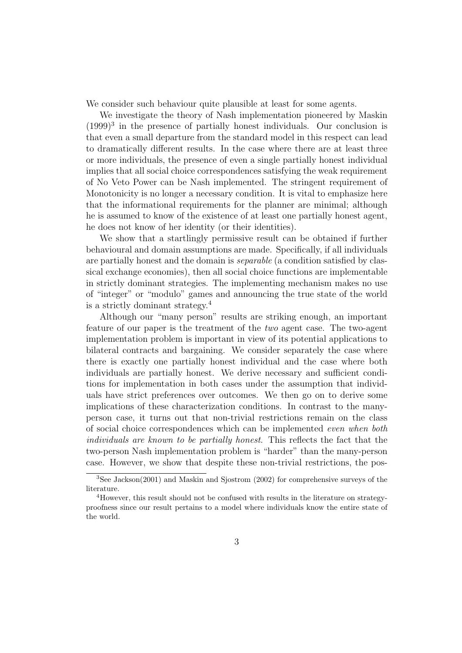We consider such behaviour quite plausible at least for some agents.

We investigate the theory of Nash implementation pioneered by Maskin  $(1999)^3$  in the presence of partially honest individuals. Our conclusion is that even a small departure from the standard model in this respect can lead to dramatically different results. In the case where there are at least three or more individuals, the presence of even a single partially honest individual implies that all social choice correspondences satisfying the weak requirement of No Veto Power can be Nash implemented. The stringent requirement of Monotonicity is no longer a necessary condition. It is vital to emphasize here that the informational requirements for the planner are minimal; although he is assumed to know of the existence of at least one partially honest agent, he does not know of her identity (or their identities).

We show that a startlingly permissive result can be obtained if further behavioural and domain assumptions are made. Specifically, if all individuals are partially honest and the domain is separable (a condition satisfied by classical exchange economies), then all social choice functions are implementable in strictly dominant strategies. The implementing mechanism makes no use of "integer" or "modulo" games and announcing the true state of the world is a strictly dominant strategy.<sup>4</sup>

Although our "many person" results are striking enough, an important feature of our paper is the treatment of the two agent case. The two-agent implementation problem is important in view of its potential applications to bilateral contracts and bargaining. We consider separately the case where there is exactly one partially honest individual and the case where both individuals are partially honest. We derive necessary and sufficient conditions for implementation in both cases under the assumption that individuals have strict preferences over outcomes. We then go on to derive some implications of these characterization conditions. In contrast to the manyperson case, it turns out that non-trivial restrictions remain on the class of social choice correspondences which can be implemented even when both individuals are known to be partially honest. This reflects the fact that the two-person Nash implementation problem is "harder" than the many-person case. However, we show that despite these non-trivial restrictions, the pos-

<sup>3</sup>See Jackson(2001) and Maskin and Sjostrom (2002) for comprehensive surveys of the literature.

<sup>&</sup>lt;sup>4</sup>However, this result should not be confused with results in the literature on strategyproofness since our result pertains to a model where individuals know the entire state of the world.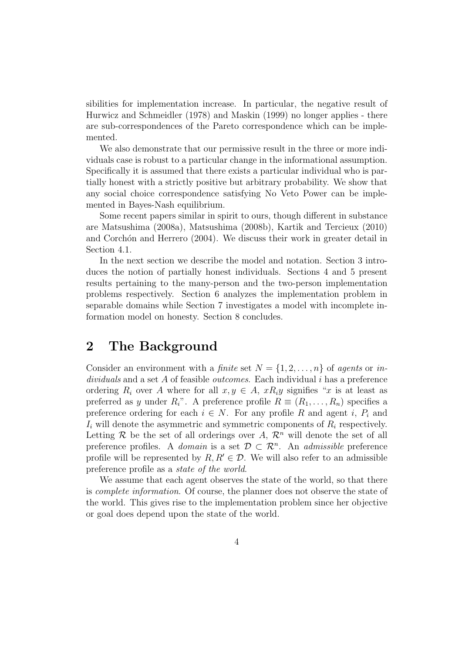sibilities for implementation increase. In particular, the negative result of Hurwicz and Schmeidler (1978) and Maskin (1999) no longer applies - there are sub-correspondences of the Pareto correspondence which can be implemented.

We also demonstrate that our permissive result in the three or more individuals case is robust to a particular change in the informational assumption. Specifically it is assumed that there exists a particular individual who is partially honest with a strictly positive but arbitrary probability. We show that any social choice correspondence satisfying No Veto Power can be implemented in Bayes-Nash equilibrium.

Some recent papers similar in spirit to ours, though different in substance are Matsushima (2008a), Matsushima (2008b), Kartik and Tercieux (2010) and Corchón and Herrero (2004). We discuss their work in greater detail in Section 4.1.

In the next section we describe the model and notation. Section 3 introduces the notion of partially honest individuals. Sections 4 and 5 present results pertaining to the many-person and the two-person implementation problems respectively. Section 6 analyzes the implementation problem in separable domains while Section 7 investigates a model with incomplete information model on honesty. Section 8 concludes.

### 2 The Background

Consider an environment with a *finite* set  $N = \{1, 2, ..., n\}$  of agents or in $dividuals$  and a set A of feasible *outcomes*. Each individual i has a preference ordering  $R_i$  over A where for all  $x, y \in A$ ,  $xR_iy$  signifies "x is at least as preferred as y under  $R_i$ ". A preference profile  $R \equiv (R_1, \ldots, R_n)$  specifies a preference ordering for each  $i \in N$ . For any profile R and agent i,  $P_i$  and  $I_i$  will denote the asymmetric and symmetric components of  $R_i$  respectively. Letting R be the set of all orderings over A,  $\mathcal{R}^n$  will denote the set of all preference profiles. A *domain* is a set  $\mathcal{D} \subset \mathcal{R}^n$ . An *admissible* preference profile will be represented by  $R, R' \in \mathcal{D}$ . We will also refer to an admissible preference profile as a state of the world.

We assume that each agent observes the state of the world, so that there is complete information. Of course, the planner does not observe the state of the world. This gives rise to the implementation problem since her objective or goal does depend upon the state of the world.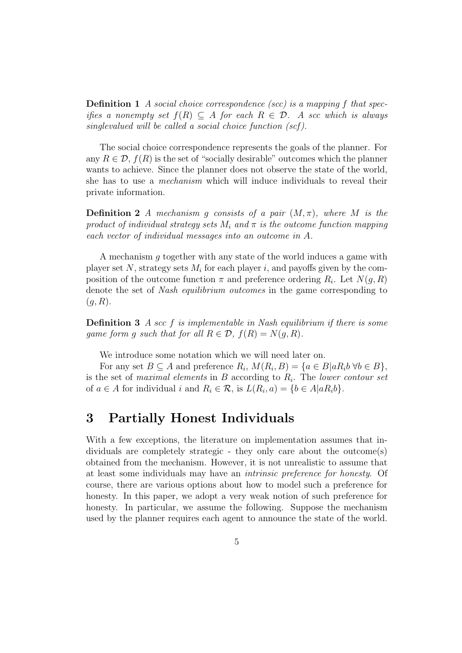**Definition 1** A social choice correspondence (scc) is a mapping f that specifies a nonempty set  $f(R) \subseteq A$  for each  $R \in \mathcal{D}$ . A scc which is always singlevalued will be called a social choice function (scf ).

The social choice correspondence represents the goals of the planner. For any  $R \in \mathcal{D}$ ,  $f(R)$  is the set of "socially desirable" outcomes which the planner wants to achieve. Since the planner does not observe the state of the world, she has to use a mechanism which will induce individuals to reveal their private information.

**Definition 2** A mechanism g consists of a pair  $(M, \pi)$ , where M is the product of individual strategy sets  $M_i$  and  $\pi$  is the outcome function mapping each vector of individual messages into an outcome in A.

A mechanism g together with any state of the world induces a game with player set N, strategy sets  $M_i$  for each player i, and payoffs given by the composition of the outcome function  $\pi$  and preference ordering  $R_i$ . Let  $N(g, R)$ denote the set of Nash equilibrium outcomes in the game corresponding to  $(g, R)$ .

**Definition 3** A scc f is implementable in Nash equilibrium if there is some game form g such that for all  $R \in \mathcal{D}$ ,  $f(R) = N(q, R)$ .

We introduce some notation which we will need later on.

For any set  $B \subseteq A$  and preference  $R_i$ ,  $M(R_i, B) = \{a \in B | aR_i b \,\forall b \in B\}$ , is the set of *maximal elements* in  $B$  according to  $R_i$ . The *lower contour set* of  $a \in A$  for individual i and  $R_i \in \mathcal{R}$ , is  $L(R_i, a) = \{b \in A | aR_i b\}.$ 

### 3 Partially Honest Individuals

With a few exceptions, the literature on implementation assumes that individuals are completely strategic - they only care about the outcome(s) obtained from the mechanism. However, it is not unrealistic to assume that at least some individuals may have an intrinsic preference for honesty. Of course, there are various options about how to model such a preference for honesty. In this paper, we adopt a very weak notion of such preference for honesty. In particular, we assume the following. Suppose the mechanism used by the planner requires each agent to announce the state of the world.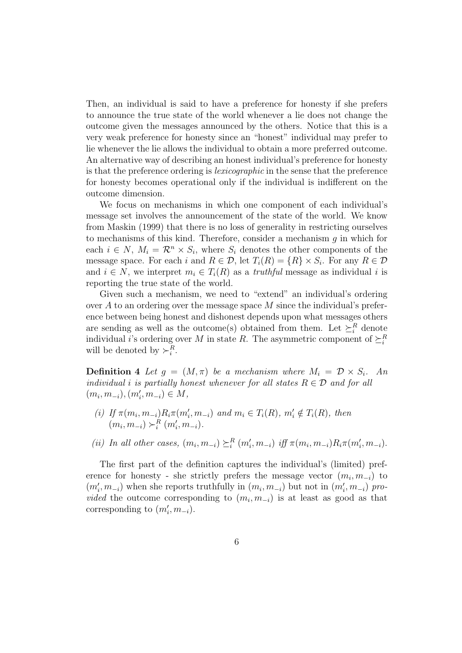Then, an individual is said to have a preference for honesty if she prefers to announce the true state of the world whenever a lie does not change the outcome given the messages announced by the others. Notice that this is a very weak preference for honesty since an "honest" individual may prefer to lie whenever the lie allows the individual to obtain a more preferred outcome. An alternative way of describing an honest individual's preference for honesty is that the preference ordering is lexicographic in the sense that the preference for honesty becomes operational only if the individual is indifferent on the outcome dimension.

We focus on mechanisms in which one component of each individual's message set involves the announcement of the state of the world. We know from Maskin (1999) that there is no loss of generality in restricting ourselves to mechanisms of this kind. Therefore, consider a mechanism  $g$  in which for each  $i \in N$ ,  $M_i = \mathcal{R}^n \times S_i$ , where  $S_i$  denotes the other components of the message space. For each i and  $R \in \mathcal{D}$ , let  $T_i(R) = \{R\} \times S_i$ . For any  $R \in \mathcal{D}$ and  $i \in N$ , we interpret  $m_i \in T_i(R)$  as a *truthful* message as individual i is reporting the true state of the world.

Given such a mechanism, we need to "extend" an individual's ordering over A to an ordering over the message space M since the individual's preference between being honest and dishonest depends upon what messages others are sending as well as the outcome(s) obtained from them. Let  $\geq_i^R$  denote individual *i*'s ordering over M in state R. The asymmetric component of  $\succeq_i^R$ will be denoted by  $\succ_i^R$ .

**Definition 4** Let  $g = (M, \pi)$  be a mechanism where  $M_i = \mathcal{D} \times S_i$ . An individual i is partially honest whenever for all states  $R \in \mathcal{D}$  and for all  $(m_i, m_{-i}), (m'_i, m_{-i}) \in M,$ 

- (i) If  $\pi(m_i, m_{-i})R_i\pi(m'_i, m_{-i})$  and  $m_i \in T_i(R)$ ,  $m'_i \notin T_i(R)$ , then  $(m_i, m_{-i}) \succ_i^R (m'_i, m_{-i}).$
- (ii) In all other cases,  $(m_i, m_{-i}) \succeq_i^R (m'_i, m_{-i})$  iff  $\pi(m_i, m_{-i})R_i\pi(m'_i, m_{-i})$ .

The first part of the definition captures the individual's (limited) preference for honesty - she strictly prefers the message vector  $(m_i, m_{-i})$  to  $(m'_i, m_{-i})$  when she reports truthfully in  $(m_i, m_{-i})$  but not in  $(m'_i, m_{-i})$  pro*vided* the outcome corresponding to  $(m_i, m_{-i})$  is at least as good as that corresponding to  $(m'_i, m_{-i})$ .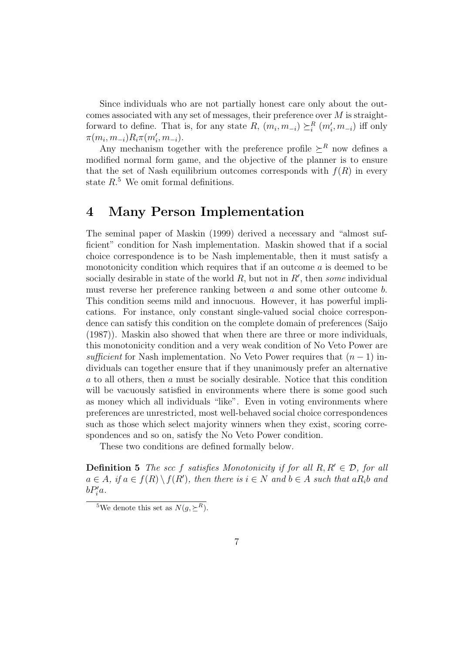Since individuals who are not partially honest care only about the outcomes associated with any set of messages, their preference over  $M$  is straightforward to define. That is, for any state  $R, (m_i, m_{-i}) \succeq_i^R (m'_i, m_{-i})$  iff only  $\pi(m_i, m_{-i}) R_i \pi(m'_i, m_{-i}).$ 

Any mechanism together with the preference profile  $\succeq^R$  now defines a modified normal form game, and the objective of the planner is to ensure that the set of Nash equilibrium outcomes corresponds with  $f(R)$  in every state  $R<sup>5</sup>$  We omit formal definitions.

### 4 Many Person Implementation

The seminal paper of Maskin (1999) derived a necessary and "almost sufficient" condition for Nash implementation. Maskin showed that if a social choice correspondence is to be Nash implementable, then it must satisfy a monotonicity condition which requires that if an outcome  $a$  is deemed to be socially desirable in state of the world  $R$ , but not in  $R'$ , then some individual must reverse her preference ranking between a and some other outcome b. This condition seems mild and innocuous. However, it has powerful implications. For instance, only constant single-valued social choice correspondence can satisfy this condition on the complete domain of preferences (Saijo (1987)). Maskin also showed that when there are three or more individuals, this monotonicity condition and a very weak condition of No Veto Power are sufficient for Nash implementation. No Veto Power requires that  $(n-1)$  individuals can together ensure that if they unanimously prefer an alternative a to all others, then a must be socially desirable. Notice that this condition will be vacuously satisfied in environments where there is some good such as money which all individuals "like". Even in voting environments where preferences are unrestricted, most well-behaved social choice correspondences such as those which select majority winners when they exist, scoring correspondences and so on, satisfy the No Veto Power condition.

These two conditions are defined formally below.

**Definition 5** The scc f satisfies Monotonicity if for all  $R, R' \in \mathcal{D}$ , for all  $a \in A$ , if  $a \in f(R) \setminus f(R')$ , then there is  $i \in N$  and  $b \in A$  such that  $aR_i b$  and  $bP_i'a$ .

<sup>&</sup>lt;sup>5</sup>We denote this set as  $N(g, \geq^R)$ .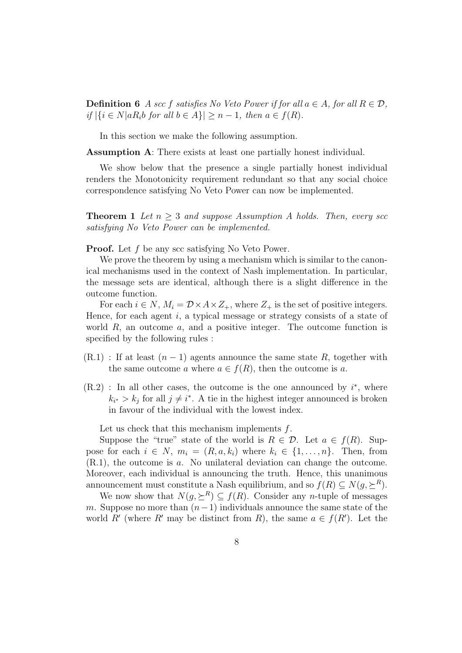**Definition 6** A scc f satisfies No Veto Power if for all  $a \in A$ , for all  $R \in \mathcal{D}$ , if  $|\{i \in N | a R_i b \text{ for all } b \in A\}| \geq n-1$ , then  $a \in f(R)$ .

In this section we make the following assumption.

Assumption A: There exists at least one partially honest individual.

We show below that the presence a single partially honest individual renders the Monotonicity requirement redundant so that any social choice correspondence satisfying No Veto Power can now be implemented.

**Theorem 1** Let  $n > 3$  and suppose Assumption A holds. Then, every scc satisfying No Veto Power can be implemented.

**Proof.** Let f be any scc satisfying No Veto Power.

We prove the theorem by using a mechanism which is similar to the canonical mechanisms used in the context of Nash implementation. In particular, the message sets are identical, although there is a slight difference in the outcome function.

For each  $i \in N$ ,  $M_i = \mathcal{D} \times A \times Z_+$ , where  $Z_+$  is the set of positive integers. Hence, for each agent  $i$ , a typical message or strategy consists of a state of world  $R$ , an outcome  $a$ , and a positive integer. The outcome function is specified by the following rules :

- $(R.1)$ : If at least  $(n-1)$  agents announce the same state R, together with the same outcome a where  $a \in f(R)$ , then the outcome is a.
- $(R.2)$ : In all other cases, the outcome is the one announced by  $i^*$ , where  $k_{i^*} > k_j$  for all  $j \neq i^*$ . A tie in the highest integer announced is broken in favour of the individual with the lowest index.

Let us check that this mechanism implements f.

Suppose the "true" state of the world is  $R \in \mathcal{D}$ . Let  $a \in f(R)$ . Suppose for each  $i \in N$ ,  $m_i = (R, a, k_i)$  where  $k_i \in \{1, ..., n\}$ . Then, from (R.1), the outcome is a. No unilateral deviation can change the outcome. Moreover, each individual is announcing the truth. Hence, this unanimous announcement must constitute a Nash equilibrium, and so  $f(R) \subseteq N(g, \geq^R)$ .

We now show that  $N(g, \succeq^R) \subseteq f(R)$ . Consider any *n*-tuple of messages m. Suppose no more than  $(n-1)$  individuals announce the same state of the world R' (where R' may be distinct from R), the same  $a \in f(R')$ . Let the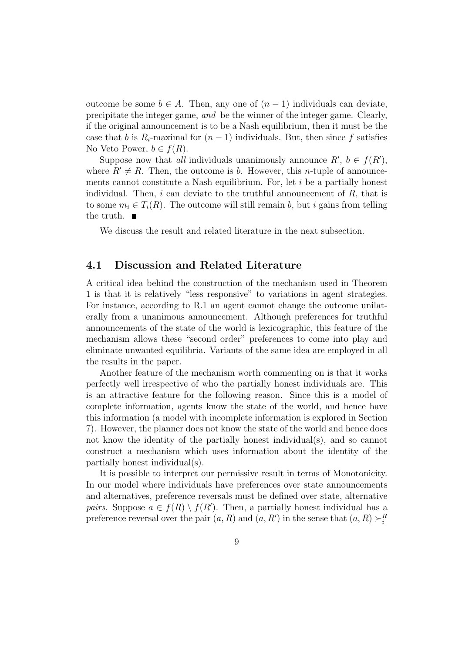outcome be some  $b \in A$ . Then, any one of  $(n-1)$  individuals can deviate, precipitate the integer game, and be the winner of the integer game. Clearly, if the original announcement is to be a Nash equilibrium, then it must be the case that b is  $R_i$ -maximal for  $(n-1)$  individuals. But, then since f satisfies No Veto Power,  $b \in f(R)$ .

Suppose now that all individuals unanimously announce  $R'$ ,  $b \in f(R')$ , where  $R' \neq R$ . Then, the outcome is b. However, this *n*-tuple of announcements cannot constitute a Nash equilibrium. For, let  $i$  be a partially honest individual. Then,  $i$  can deviate to the truthful announcement of  $R$ , that is to some  $m_i \in T_i(R)$ . The outcome will still remain b, but i gains from telling the truth.  $\blacksquare$ 

We discuss the result and related literature in the next subsection.

#### 4.1 Discussion and Related Literature

A critical idea behind the construction of the mechanism used in Theorem 1 is that it is relatively "less responsive" to variations in agent strategies. For instance, according to R.1 an agent cannot change the outcome unilaterally from a unanimous announcement. Although preferences for truthful announcements of the state of the world is lexicographic, this feature of the mechanism allows these "second order" preferences to come into play and eliminate unwanted equilibria. Variants of the same idea are employed in all the results in the paper.

Another feature of the mechanism worth commenting on is that it works perfectly well irrespective of who the partially honest individuals are. This is an attractive feature for the following reason. Since this is a model of complete information, agents know the state of the world, and hence have this information (a model with incomplete information is explored in Section 7). However, the planner does not know the state of the world and hence does not know the identity of the partially honest individual(s), and so cannot construct a mechanism which uses information about the identity of the partially honest individual(s).

It is possible to interpret our permissive result in terms of Monotonicity. In our model where individuals have preferences over state announcements and alternatives, preference reversals must be defined over state, alternative *pairs*. Suppose  $a \in f(R) \setminus f(R')$ . Then, a partially honest individual has a preference reversal over the pair  $(a, R)$  and  $(a, R')$  in the sense that  $(a, R) \succ_i^R$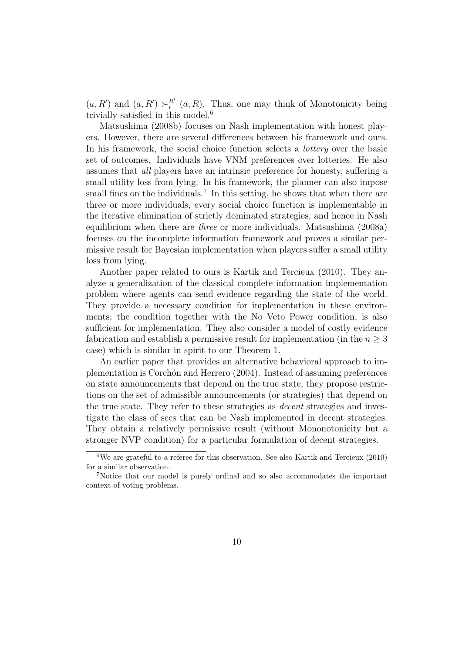$(a, R')$  and  $(a, R') \succ_i^{R'} (a, R)$ . Thus, one may think of Monotonicity being trivially satisfied in this model.<sup>6</sup>

Matsushima (2008b) focuses on Nash implementation with honest players. However, there are several differences between his framework and ours. In his framework, the social choice function selects a lottery over the basic set of outcomes. Individuals have VNM preferences over lotteries. He also assumes that all players have an intrinsic preference for honesty, suffering a small utility loss from lying. In his framework, the planner can also impose small fines on the individuals.<sup>7</sup> In this setting, he shows that when there are three or more individuals, every social choice function is implementable in the iterative elimination of strictly dominated strategies, and hence in Nash equilibrium when there are three or more individuals. Matsushima (2008a) focuses on the incomplete information framework and proves a similar permissive result for Bayesian implementation when players suffer a small utility loss from lying.

Another paper related to ours is Kartik and Tercieux (2010). They analyze a generalization of the classical complete information implementation problem where agents can send evidence regarding the state of the world. They provide a necessary condition for implementation in these environments; the condition together with the No Veto Power condition, is also sufficient for implementation. They also consider a model of costly evidence fabrication and establish a permissive result for implementation (in the  $n \geq 3$ case) which is similar in spirit to our Theorem 1.

An earlier paper that provides an alternative behavioral approach to implementation is Corch´on and Herrero (2004). Instead of assuming preferences on state announcements that depend on the true state, they propose restrictions on the set of admissible announcements (or strategies) that depend on the true state. They refer to these strategies as decent strategies and investigate the class of sccs that can be Nash implemented in decent strategies. They obtain a relatively permissive result (without Mononotonicity but a stronger NVP condition) for a particular formulation of decent strategies.

<sup>&</sup>lt;sup>6</sup>We are grateful to a referee for this observation. See also Kartik and Tercieux  $(2010)$ for a similar observation.

<sup>7</sup>Notice that our model is purely ordinal and so also accommodates the important context of voting problems.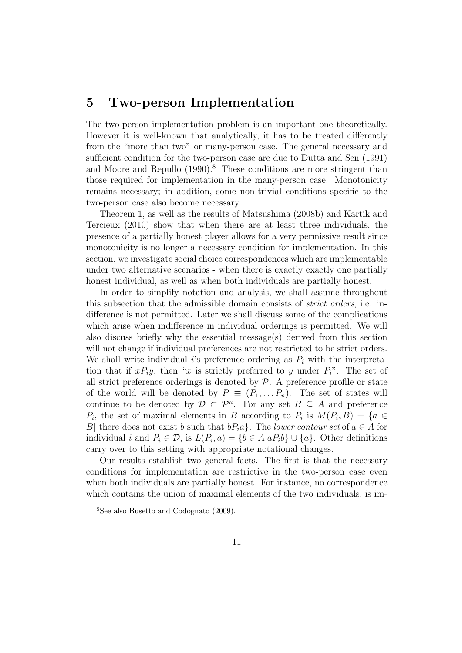### 5 Two-person Implementation

The two-person implementation problem is an important one theoretically. However it is well-known that analytically, it has to be treated differently from the "more than two" or many-person case. The general necessary and sufficient condition for the two-person case are due to Dutta and Sen (1991) and Moore and Repullo  $(1990)^8$ . These conditions are more stringent than those required for implementation in the many-person case. Monotonicity remains necessary; in addition, some non-trivial conditions specific to the two-person case also become necessary.

Theorem 1, as well as the results of Matsushima (2008b) and Kartik and Tercieux (2010) show that when there are at least three individuals, the presence of a partially honest player allows for a very permissive result since monotonicity is no longer a necessary condition for implementation. In this section, we investigate social choice correspondences which are implementable under two alternative scenarios - when there is exactly exactly one partially honest individual, as well as when both individuals are partially honest.

In order to simplify notation and analysis, we shall assume throughout this subsection that the admissible domain consists of strict orders, i.e. indifference is not permitted. Later we shall discuss some of the complications which arise when indifference in individual orderings is permitted. We will also discuss briefly why the essential message(s) derived from this section will not change if individual preferences are not restricted to be strict orders. We shall write individual i's preference ordering as  $P_i$  with the interpretation that if  $xP_iy$ , then "x is strictly preferred to y under  $P_i$ ". The set of all strict preference orderings is denoted by  $P$ . A preference profile or state of the world will be denoted by  $P \equiv (P_1, \ldots, P_n)$ . The set of states will continue to be denoted by  $\mathcal{D} \subset \mathcal{P}^n$ . For any set  $B \subseteq A$  and preference  $P_i$ , the set of maximal elements in B according to  $P_i$  is  $M(P_i, B) = \{a \in$ B| there does not exist b such that  $bP_i a$ }. The lower contour set of  $a \in A$  for individual *i* and  $P_i \in \mathcal{D}$ , is  $L(P_i, a) = \{b \in A | a P_i b\} \cup \{a\}$ . Other definitions carry over to this setting with appropriate notational changes.

Our results establish two general facts. The first is that the necessary conditions for implementation are restrictive in the two-person case even when both individuals are partially honest. For instance, no correspondence which contains the union of maximal elements of the two individuals, is im-

<sup>8</sup>See also Busetto and Codognato (2009).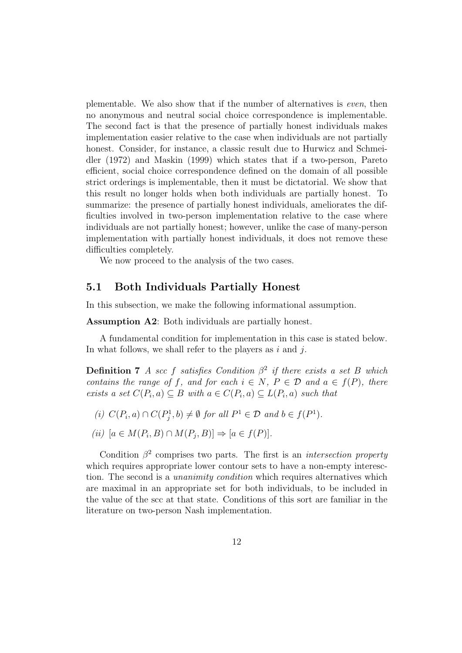plementable. We also show that if the number of alternatives is even, then no anonymous and neutral social choice correspondence is implementable. The second fact is that the presence of partially honest individuals makes implementation easier relative to the case when individuals are not partially honest. Consider, for instance, a classic result due to Hurwicz and Schmeidler (1972) and Maskin (1999) which states that if a two-person, Pareto efficient, social choice correspondence defined on the domain of all possible strict orderings is implementable, then it must be dictatorial. We show that this result no longer holds when both individuals are partially honest. To summarize: the presence of partially honest individuals, ameliorates the difficulties involved in two-person implementation relative to the case where individuals are not partially honest; however, unlike the case of many-person implementation with partially honest individuals, it does not remove these difficulties completely.

We now proceed to the analysis of the two cases.

#### 5.1 Both Individuals Partially Honest

In this subsection, we make the following informational assumption.

Assumption A2: Both individuals are partially honest.

A fundamental condition for implementation in this case is stated below. In what follows, we shall refer to the players as  $i$  and  $j$ .

**Definition 7** A scc f satisfies Condition  $\beta^2$  if there exists a set B which contains the range of f, and for each  $i \in N$ ,  $P \in \mathcal{D}$  and  $a \in f(P)$ , there exists a set  $C(P_i, a) \subseteq B$  with  $a \in C(P_i, a) \subseteq L(P_i, a)$  such that

- (i)  $C(P_i, a) \cap C(P_j^1, b) \neq \emptyset$  for all  $P^1 \in \mathcal{D}$  and  $b \in f(P^1)$ .
- (ii)  $[a \in M(P_i, B) \cap M(P_j, B)] \Rightarrow [a \in f(P)].$

Condition  $\beta^2$  comprises two parts. The first is an *intersection property* which requires appropriate lower contour sets to have a non-empty interesction. The second is a *unanimity condition* which requires alternatives which are maximal in an appropriate set for both individuals, to be included in the value of the scc at that state. Conditions of this sort are familiar in the literature on two-person Nash implementation.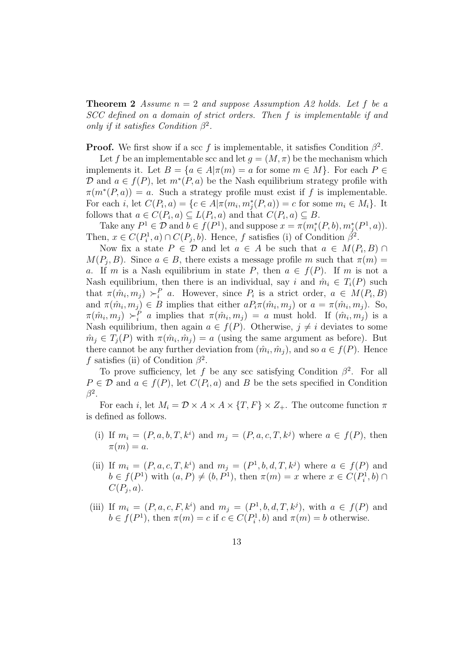**Theorem 2** Assume  $n = 2$  and suppose Assumption A2 holds. Let f be a SCC defined on a domain of strict orders. Then f is implementable if and only if it satisfies Condition  $\beta^2$ .

**Proof.** We first show if a scc f is implementable, it satisfies Condition  $\beta^2$ .

Let f be an implementable scc and let  $q = (M, \pi)$  be the mechanism which implements it. Let  $B = \{a \in A | \pi(m) = a \text{ for some } m \in M\}$ . For each  $P \in$ D and  $a \in f(P)$ , let  $m^*(P, a)$  be the Nash equilibrium strategy profile with  $\pi(m^*(P, a)) = a$ . Such a strategy profile must exist if f is implementable. For each *i*, let  $C(P_i, a) = \{c \in A | \pi(m_i, m_j^*(P, a)) = c \text{ for some } m_i \in M_i \}$ . It follows that  $a \in C(P_i, a) \subseteq L(P_i, a)$  and that  $C(P_i, a) \subseteq B$ .

Take any  $P^1 \in \mathcal{D}$  and  $b \in f(P^1)$ , and suppose  $x = \pi(m_i^*(P, b), m_j^*(P^1, a))$ . Then,  $x \in C(P_i^1, a) \cap C(P_j, b)$ . Hence, f satisfies (i) of Condition  $\beta^2$ .

Now fix a state  $P \in \mathcal{D}$  and let  $a \in A$  be such that  $a \in M(P_i, B) \cap$  $M(P_j, B)$ . Since  $a \in B$ , there exists a message profile m such that  $\pi(m) =$ a. If m is a Nash equilibrium in state P, then  $a \in f(P)$ . If m is not a Nash equilibrium, then there is an individual, say i and  $\hat{m}_i \in T_i(P)$  such that  $\pi(\hat{m}_i, m_j) \succ_i^P a$ . However, since  $P_i$  is a strict order,  $a \in M(P_i, B)$ and  $\pi(\hat{m}_i, m_j) \in B$  implies that either  $aP_i\pi(\hat{m}_i, m_j)$  or  $a = \pi(\hat{m}_i, m_j)$ . So,  $\pi(\hat{m}_i, m_j) \succ_i^P a$  implies that  $\pi(\hat{m}_i, m_j) = a$  must hold. If  $(\hat{m}_i, m_j)$  is a Nash equilibrium, then again  $a \in f(P)$ . Otherwise,  $j \neq i$  deviates to some  $\hat{m}_j \in T_j(P)$  with  $\pi(\hat{m}_i, \hat{m}_j) = a$  (using the same argument as before). But there cannot be any further deviation from  $(\hat{m}_i, \hat{m}_j)$ , and so  $a \in f(P)$ . Hence f satisfies (ii) of Condition  $\beta^2$ .

To prove sufficiency, let f be any scc satisfying Condition  $\beta^2$ . For all  $P \in \mathcal{D}$  and  $a \in f(P)$ , let  $C(P_i, a)$  and B be the sets specified in Condition  $\beta^2$ .

For each i, let  $M_i = \mathcal{D} \times A \times A \times \{T, F\} \times Z_+$ . The outcome function  $\pi$ is defined as follows.

- (i) If  $m_i = (P, a, b, T, k^i)$  and  $m_j = (P, a, c, T, k^j)$  where  $a \in f(P)$ , then  $\pi(m) = a$ .
- (ii) If  $m_i = (P, a, c, T, k^i)$  and  $m_j = (P^1, b, d, T, k^j)$  where  $a \in f(P)$  and  $b \in f(P^1)$  with  $(a, P) \neq (b, P^1)$ , then  $\pi(m) = x$  where  $x \in C(P_i^1, b) \cap$  $C(P_j, a)$ .
- (iii) If  $m_i = (P, a, c, F, k^i)$  and  $m_j = (P^1, b, d, T, k^j)$ , with  $a \in f(P)$  and  $b \in f(P^1)$ , then  $\pi(m) = c$  if  $c \in C(P_i^1, b)$  and  $\pi(m) = b$  otherwise.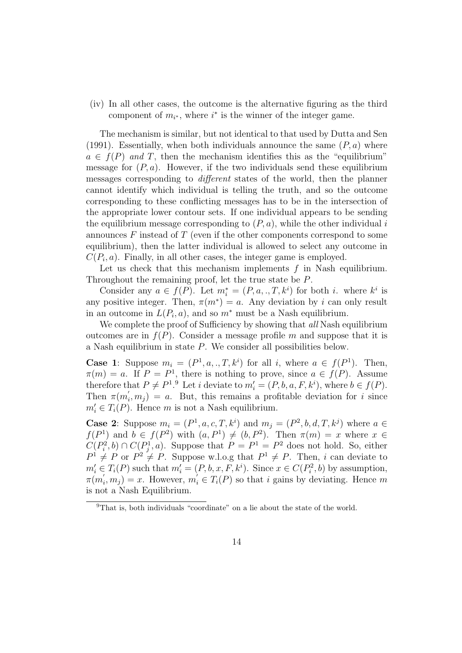(iv) In all other cases, the outcome is the alternative figuring as the third component of  $m_{i^*}$ , where  $i^*$  is the winner of the integer game.

The mechanism is similar, but not identical to that used by Dutta and Sen (1991). Essentially, when both individuals announce the same  $(P, a)$  where  $a \in f(P)$  and T, then the mechanism identifies this as the "equilibrium" message for  $(P, a)$ . However, if the two individuals send these equilibrium messages corresponding to different states of the world, then the planner cannot identify which individual is telling the truth, and so the outcome corresponding to these conflicting messages has to be in the intersection of the appropriate lower contour sets. If one individual appears to be sending the equilibrium message corresponding to  $(P, a)$ , while the other individual i announces  $F$  instead of  $T$  (even if the other components correspond to some equilibrium), then the latter individual is allowed to select any outcome in  $C(P_i, a)$ . Finally, in all other cases, the integer game is employed.

Let us check that this mechanism implements  $f$  in Nash equilibrium. Throughout the remaining proof, let the true state be P.

Consider any  $a \in f(P)$ . Let  $m_i^* = (P, a, \cdot, T, k^i)$  for both *i*. where  $k^i$  is any positive integer. Then,  $\pi(m^*) = a$ . Any deviation by i can only result in an outcome in  $L(P_i, a)$ , and so  $m^*$  must be a Nash equilibrium.

We complete the proof of Sufficiency by showing that all Nash equilibrium outcomes are in  $f(P)$ . Consider a message profile m and suppose that it is a Nash equilibrium in state P. We consider all possibilities below.

**Case 1:** Suppose  $m_i = (P^1, a, \ldots, T, k^i)$  for all i, where  $a \in f(P^1)$ . Then,  $\pi(m) = a$ . If  $P = P<sup>1</sup>$ , there is nothing to prove, since  $a \in f(P)$ . Assume therefore that  $P \neq P^{1,9}$  Let i deviate to  $m'_{i} = (P, b, a, F, k^{i})$ , where  $b \in f(P)$ . Then  $\pi(m)$  $i, m_j$  = a. But, this remains a profitable deviation for i since  $m'_i \in T_i(P)$ . Hence m is not a Nash equilibrium.

**Case 2:** Suppose  $m_i = (P^1, a, c, T, k^i)$  and  $m_j = (P^2, b, d, T, k^j)$  where  $a \in$  $f(P^1)$  and  $b \in f(P^2)$  with  $(a, P^1) \neq (b, P^2)$ . Then  $\pi(m) = x$  where  $x \in$  $C(P_i^2, b) \cap C(P_j^1, a)$ . Suppose that  $P = P^1 = P^2$  does not hold. So, either  $P^1 \neq P$  or  $P^2 \neq P$ . Suppose w.l.o.g that  $P^1 \neq P$ . Then, i can deviate to  $m'_i \in T_i(P)$  such that  $m'_i = (P, b, x, F, k^i)$ . Since  $x \in C(P_i^2, b)$  by assumption,  $\pi(m_i^{'})$  $i, m_j$  = x. However,  $m_i \in T_i(P)$  so that i gains by deviating. Hence m is not a Nash Equilibrium.

<sup>&</sup>lt;sup>9</sup>That is, both individuals "coordinate" on a lie about the state of the world.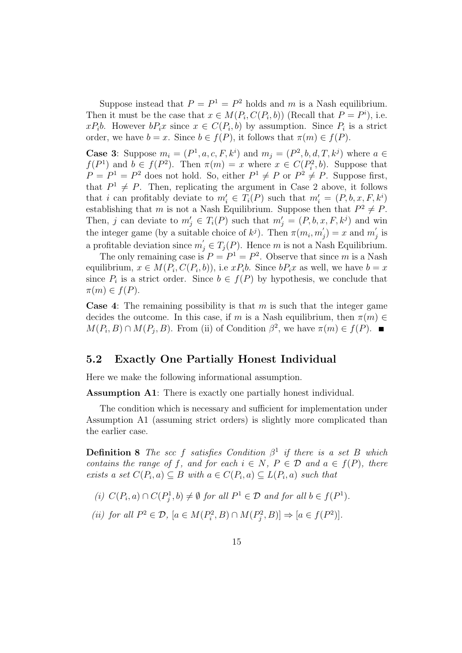Suppose instead that  $P = P^1 = P^2$  holds and m is a Nash equilibrium. Then it must be the case that  $x \in M(P_i, C(P_i, b))$  (Recall that  $P = P^i$ ), i.e.  $xP_i b$ . However  $bP_i x$  since  $x \in C(P_i, b)$  by assumption. Since  $P_i$  is a strict order, we have  $b = x$ . Since  $b \in f(P)$ , it follows that  $\pi(m) \in f(P)$ .

**Case 3:** Suppose  $m_i = (P^1, a, c, F, k^i)$  and  $m_j = (P^2, b, d, T, k^j)$  where  $a \in$  $f(P^1)$  and  $b \in f(P^2)$ . Then  $\pi(m) = x$  where  $x \in C(P_i^2, b)$ . Suppose that  $P = P<sup>1</sup> = P<sup>2</sup>$  does not hold. So, either  $P<sup>1</sup> \neq P$  or  $P<sup>2</sup> \neq P$ . Suppose first, that  $P^1 \neq P$ . Then, replicating the argument in Case 2 above, it follows that i can profitably deviate to  $m'_i \in T_i(P)$  such that  $m'_i = (P, b, x, F, k^i)$ establishing that m is not a Nash Equilibrium. Suppose then that  $P^2 \neq P$ . Then, j can deviate to  $m'_j \in T_i(P)$  such that  $m'_j = (P, b, x, F, k^j)$  and win the integer game (by a suitable choice of  $k^j$ ). Then  $\pi(m_i, m'_i)$  $y'_{j}$ ) = x and m<sup>'</sup>  $j$  is a profitable deviation since  $m'_j \in T_j(P)$ . Hence m is not a Nash Equilibrium.

The only remaining case is  $P = P^1 = P^2$ . Observe that since m is a Nash equilibrium,  $x \in M(P_i, C(P_i, b))$ , i.e  $xP_i b$ . Since  $bP_i x$  as well, we have  $b = x$ since  $P_i$  is a strict order. Since  $b \in f(P)$  by hypothesis, we conclude that  $\pi(m) \in f(P)$ .

**Case 4:** The remaining possibility is that m is such that the integer game decides the outcome. In this case, if m is a Nash equilibrium, then  $\pi(m) \in$  $M(P_i, B) \cap M(P_j, B)$ . From (ii) of Condition  $\beta^2$ , we have  $\pi(m) \in f(P)$ .

#### 5.2 Exactly One Partially Honest Individual

Here we make the following informational assumption.

Assumption A1: There is exactly one partially honest individual.

The condition which is necessary and sufficient for implementation under Assumption A1 (assuming strict orders) is slightly more complicated than the earlier case.

**Definition 8** The scc f satisfies Condition  $\beta^1$  if there is a set B which contains the range of f, and for each  $i \in N$ ,  $P \in \mathcal{D}$  and  $a \in f(P)$ , there exists a set  $C(P_i, a) \subseteq B$  with  $a \in C(P_i, a) \subseteq L(P_i, a)$  such that

(i) 
$$
C(P_i, a) \cap C(P_j^1, b) \neq \emptyset
$$
 for all  $P^1 \in \mathcal{D}$  and for all  $b \in f(P^1)$ .

(ii) for all  $P^2 \in \mathcal{D}$ ,  $[a \in M(P_i^2, B) \cap M(P_j^2, B)] \Rightarrow [a \in f(P^2)].$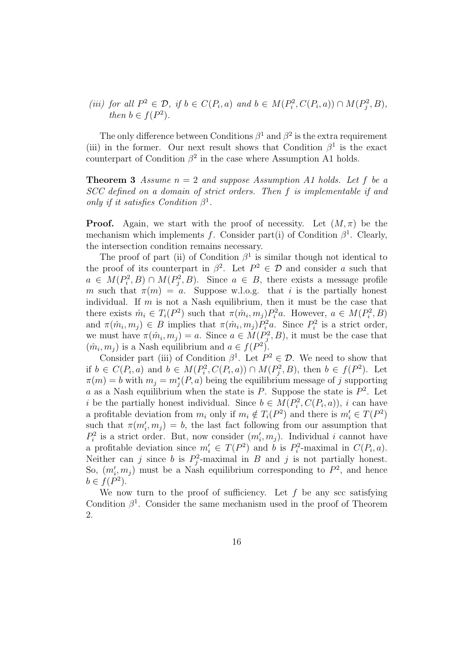(iii) for all  $P^2 \in \mathcal{D}$ , if  $b \in C(P_i, a)$  and  $b \in M(P_i^2, C(P_i, a)) \cap M(P_j^2, B)$ , then  $b \in f(P^2)$ .

The only difference between Conditions  $\beta^1$  and  $\beta^2$  is the extra requirement (iii) in the former. Our next result shows that Condition  $\beta^1$  is the exact counterpart of Condition  $\beta^2$  in the case where Assumption A1 holds.

**Theorem 3** Assume  $n = 2$  and suppose Assumption A1 holds. Let f be a SCC defined on a domain of strict orders. Then f is implementable if and only if it satisfies Condition  $\beta^1$ .

**Proof.** Again, we start with the proof of necessity. Let  $(M, \pi)$  be the mechanism which implements f. Consider part(i) of Condition  $\beta^1$ . Clearly, the intersection condition remains necessary.

The proof of part (ii) of Condition  $\beta^1$  is similar though not identical to the proof of its counterpart in  $\beta^2$ . Let  $P^2 \in \mathcal{D}$  and consider a such that  $a \in M(P_i^2, B) \cap M(P_j^2, B)$ . Since  $a \in B$ , there exists a message profile m such that  $\pi(m) = a$ . Suppose w.l.o.g. that i is the partially honest individual. If  $m$  is not a Nash equilibrium, then it must be the case that there exists  $\hat{m}_i \in T_i(P^2)$  such that  $\pi(\hat{m}_i, m_j) P_i^2 a$ . However,  $a \in M(P_i^2, B)$ and  $\pi(\hat{m}_i, m_j) \in B$  implies that  $\pi(\hat{m}_i, m_j) P_i^2 a$ . Since  $P_i^2$  is a strict order, we must have  $\pi(\hat{m}_i, m_j) = a$ . Since  $a \in M(P_j^2, B)$ , it must be the case that  $(m_i, m_j)$  is a Nash equilibrium and  $a \in f(P^2)$ .

Consider part (iii) of Condition  $\beta^1$ . Let  $P^2 \in \mathcal{D}$ . We need to show that if  $b \in C(P_i, a)$  and  $b \in M(P_i^2, C(P_i, a)) \cap M(P_j^2, B)$ , then  $b \in f(P^2)$ . Let  $\pi(m) = b$  with  $m_j = m_j^*(P, a)$  being the equilibrium message of j supporting a as a Nash equilibrium when the state is P. Suppose the state is  $P^2$ . Let i be the partially honest individual. Since  $b \in M(P_i^2, C(P_i, a))$ , i can have a profitable deviation from  $m_i$  only if  $m_i \notin T_i(P^2)$  and there is  $m'_i \in T(P^2)$ such that  $\pi(m'_i, m_j) = b$ , the last fact following from our assumption that  $P_i^2$  is a strict order. But, now consider  $(m'_i, m_j)$ . Individual i cannot have a profitable deviation since  $m'_i \in T(P^2)$  and b is  $P_i^2$ -maximal in  $C(P_i, a)$ . Neither can j since b is  $P_j^2$ -maximal in B and j is not partially honest. So,  $(m'_i, m_j)$  must be a Nash equilibrium corresponding to  $P^2$ , and hence  $b \in f(P^2)$ .

We now turn to the proof of sufficiency. Let  $f$  be any scc satisfying Condition  $\beta^1$ . Consider the same mechanism used in the proof of Theorem 2.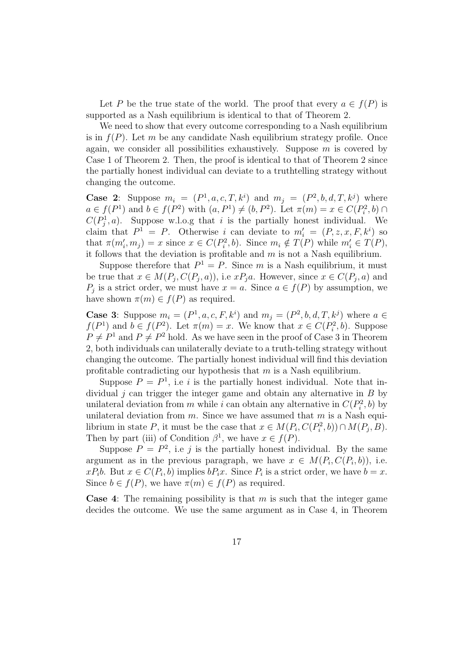Let P be the true state of the world. The proof that every  $a \in f(P)$  is supported as a Nash equilibrium is identical to that of Theorem 2.

We need to show that every outcome corresponding to a Nash equilibrium is in  $f(P)$ . Let m be any candidate Nash equilibrium strategy profile. Once again, we consider all possibilities exhaustively. Suppose  $m$  is covered by Case 1 of Theorem 2. Then, the proof is identical to that of Theorem 2 since the partially honest individual can deviate to a truthtelling strategy without changing the outcome.

**Case 2**: Suppose  $m_i = (P^1, a, c, T, k^i)$  and  $m_j = (P^2, b, d, T, k^j)$  where  $a \in f(P^1)$  and  $b \in f(P^2)$  with  $(a, P^1) \neq (b, P^2)$ . Let  $\pi(m) = x \in C(P_i^2, b) \cap$  $C(P_j^1, a)$ . Suppose w.l.o.g that i is the partially honest individual. We claim that  $P^1 = P$ . Otherwise i can deviate to  $m'_i = (P, z, x, F, k^i)$  so that  $\pi(m'_i, m_j) = x$  since  $x \in C(P_i^2, b)$ . Since  $m_i \notin T(P)$  while  $m'_i \in T(P)$ , it follows that the deviation is profitable and  $m$  is not a Nash equilibrium.

Suppose therefore that  $P^1 = P$ . Since m is a Nash equilibrium, it must be true that  $x \in M(P_j, C(P_j, a))$ , i.e  $xP_ja$ . However, since  $x \in C(P_j, a)$  and  $P_j$  is a strict order, we must have  $x = a$ . Since  $a \in f(P)$  by assumption, we have shown  $\pi(m) \in f(P)$  as required.

**Case 3:** Suppose  $m_i = (P^1, a, c, F, k^i)$  and  $m_j = (P^2, b, d, T, k^j)$  where  $a \in$  $f(P^1)$  and  $b \in f(P^2)$ . Let  $\pi(m) = x$ . We know that  $x \in C(P_i^2, b)$ . Suppose  $P \neq P^1$  and  $P \neq P^2$  hold. As we have seen in the proof of Case 3 in Theorem 2, both individuals can unilaterally deviate to a truth-telling strategy without changing the outcome. The partially honest individual will find this deviation profitable contradicting our hypothesis that  $m$  is a Nash equilibrium.

Suppose  $P = P<sup>1</sup>$ , i.e *i* is the partially honest individual. Note that individual  $j$  can trigger the integer game and obtain any alternative in  $B$  by unilateral deviation from m while i can obtain any alternative in  $C(P_i^2, b)$  by unilateral deviation from  $m$ . Since we have assumed that  $m$  is a Nash equilibrium in state P, it must be the case that  $x \in M(P_i, C(P_i^2, b)) \cap M(P_j, B)$ . Then by part (iii) of Condition  $\beta^1$ , we have  $x \in f(P)$ .

Suppose  $P = P^2$ , i.e j is the partially honest individual. By the same argument as in the previous paragraph, we have  $x \in M(P_i, C(P_i, b))$ , i.e.  $xP_i b$ . But  $x \in C(P_i, b)$  implies  $bP_i x$ . Since  $P_i$  is a strict order, we have  $b = x$ . Since  $b \in f(P)$ , we have  $\pi(m) \in f(P)$  as required.

**Case 4:** The remaining possibility is that m is such that the integer game decides the outcome. We use the same argument as in Case 4, in Theorem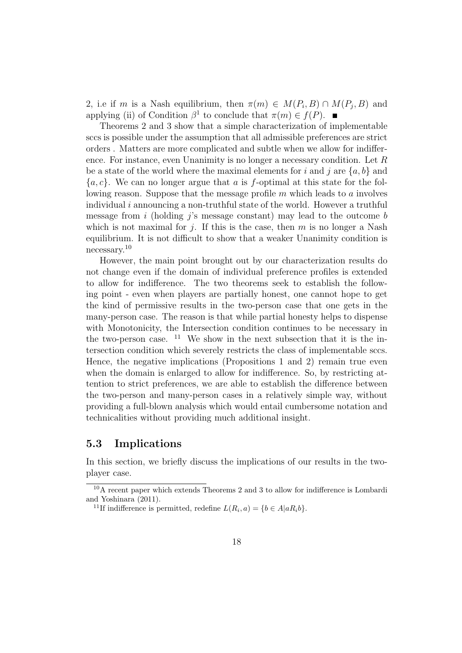2, i.e if m is a Nash equilibrium, then  $\pi(m) \in M(P_i, B) \cap M(P_j, B)$  and applying (ii) of Condition  $\beta^1$  to conclude that  $\pi(m) \in f(P)$ .

Theorems 2 and 3 show that a simple characterization of implementable sccs is possible under the assumption that all admissible preferences are strict orders . Matters are more complicated and subtle when we allow for indifference. For instance, even Unanimity is no longer a necessary condition. Let  $R$ be a state of the world where the maximal elements for i and j are  $\{a, b\}$  and  ${a, c}$ . We can no longer argue that a is f-optimal at this state for the following reason. Suppose that the message profile  $m$  which leads to  $a$  involves individual  $i$  announcing a non-truthful state of the world. However a truthful message from i (holding j's message constant) may lead to the outcome  $b$ which is not maximal for j. If this is the case, then  $m$  is no longer a Nash equilibrium. It is not difficult to show that a weaker Unanimity condition is necessary.<sup>10</sup>

However, the main point brought out by our characterization results do not change even if the domain of individual preference profiles is extended to allow for indifference. The two theorems seek to establish the following point - even when players are partially honest, one cannot hope to get the kind of permissive results in the two-person case that one gets in the many-person case. The reason is that while partial honesty helps to dispense with Monotonicity, the Intersection condition continues to be necessary in the two-person case.  $11$  We show in the next subsection that it is the intersection condition which severely restricts the class of implementable sccs. Hence, the negative implications (Propositions 1 and 2) remain true even when the domain is enlarged to allow for indifference. So, by restricting attention to strict preferences, we are able to establish the difference between the two-person and many-person cases in a relatively simple way, without providing a full-blown analysis which would entail cumbersome notation and technicalities without providing much additional insight.

#### 5.3 Implications

In this section, we briefly discuss the implications of our results in the twoplayer case.

<sup>10</sup>A recent paper which extends Theorems 2 and 3 to allow for indifference is Lombardi and Yoshinara (2011).

<sup>&</sup>lt;sup>11</sup>If indifference is permitted, redefine  $L(R_i, a) = \{b \in A | a R_i b\}.$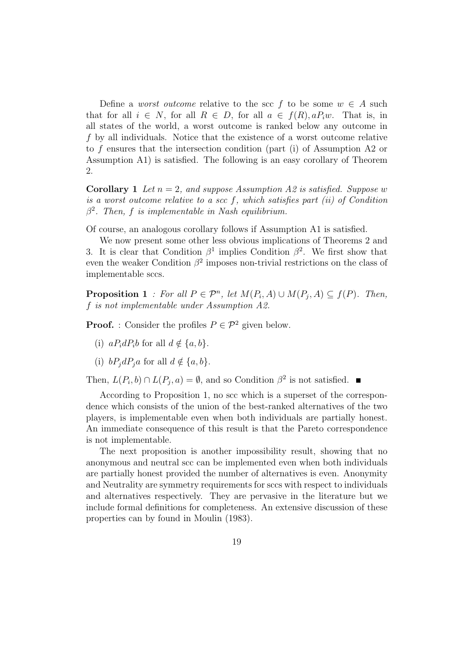Define a *worst outcome* relative to the scc f to be some  $w \in A$  such that for all  $i \in N$ , for all  $R \in D$ , for all  $a \in f(R)$ ,  $aP_i w$ . That is, in all states of the world, a worst outcome is ranked below any outcome in f by all individuals. Notice that the existence of a worst outcome relative to f ensures that the intersection condition (part (i) of Assumption A2 or Assumption A1) is satisfied. The following is an easy corollary of Theorem 2.

**Corollary 1** Let  $n = 2$ , and suppose Assumption A2 is satisfied. Suppose w is a worst outcome relative to a scc f, which satisfies part (ii) of Condition  $\beta^2$ . Then, f is implementable in Nash equilibrium.

Of course, an analogous corollary follows if Assumption A1 is satisfied.

We now present some other less obvious implications of Theorems 2 and 3. It is clear that Condition  $\beta^1$  implies Condition  $\beta^2$ . We first show that even the weaker Condition  $\beta^2$  imposes non-trivial restrictions on the class of implementable sccs.

**Proposition 1** : For all  $P \in \mathcal{P}^n$ , let  $M(P_i, A) \cup M(P_j, A) \subseteq f(P)$ . Then, f is not implementable under Assumption A2.

**Proof.** : Consider the profiles  $P \in \mathcal{P}^2$  given below.

- (i)  $aP_idP_ib$  for all  $d \notin \{a, b\}.$
- (i)  $bP_idP_ia$  for all  $d \notin \{a, b\}.$

Then,  $L(P_i, b) \cap L(P_j, a) = \emptyset$ , and so Condition  $\beta^2$  is not satisfied.

According to Proposition 1, no scc which is a superset of the correspondence which consists of the union of the best-ranked alternatives of the two players, is implementable even when both individuals are partially honest. An immediate consequence of this result is that the Pareto correspondence is not implementable.

The next proposition is another impossibility result, showing that no anonymous and neutral scc can be implemented even when both individuals are partially honest provided the number of alternatives is even. Anonymity and Neutrality are symmetry requirements for sccs with respect to individuals and alternatives respectively. They are pervasive in the literature but we include formal definitions for completeness. An extensive discussion of these properties can by found in Moulin (1983).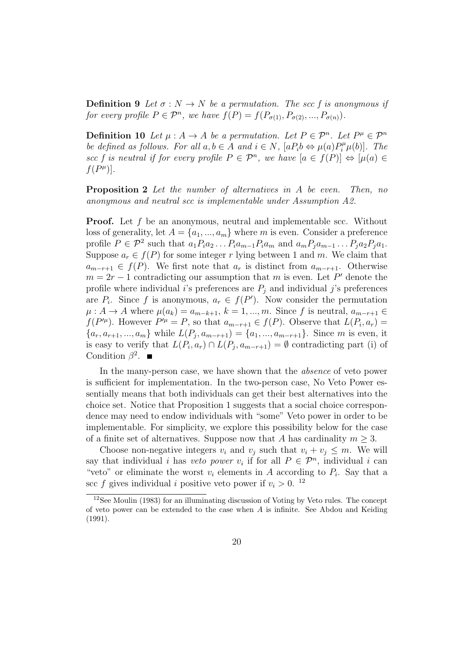**Definition 9** Let  $\sigma : N \to N$  be a permutation. The scc f is anonymous if for every profile  $P \in \mathcal{P}^n$ , we have  $f(P) = f(P_{\sigma(1)}, P_{\sigma(2)}, ..., P_{\sigma(n)})$ .

**Definition 10** Let  $\mu : A \to A$  be a permutation. Let  $P \in \mathcal{P}^n$ . Let  $P^{\mu} \in \mathcal{P}^n$ be defined as follows. For all  $a, b \in A$  and  $i \in N$ ,  $[aP_i b \Leftrightarrow \mu(a)P_i^{\mu}\mu(b)]$ . The scc f is neutral if for every profile  $P \in \mathcal{P}^n$ , we have  $[a \in f(P)] \Leftrightarrow [\mu(a) \in$  $f(P^{\mu})$ .

Proposition 2 Let the number of alternatives in A be even. Then, no anonymous and neutral scc is implementable under Assumption A2.

**Proof.** Let  $f$  be an anonymous, neutral and implementable scc. Without loss of generality, let  $A = \{a_1, ..., a_m\}$  where m is even. Consider a preference profile  $P \in \mathcal{P}^2$  such that  $a_1 P_i a_2 \ldots P_i a_{m-1} P_i a_m$  and  $a_m P_j a_{m-1} \ldots P_j a_2 P_j a_1$ . Suppose  $a_r \in f(P)$  for some integer r lying between 1 and m. We claim that  $a_{m-r+1} \in f(P)$ . We first note that  $a_r$  is distinct from  $a_{m-r+1}$ . Otherwise  $m = 2r - 1$  contradicting our assumption that m is even. Let P' denote the profile where individual *i*'s preferences are  $P_i$  and individual *j*'s preferences are  $P_i$ . Since f is anonymous,  $a_r \in f(P')$ . Now consider the permutation  $\mu: A \to A$  where  $\mu(a_k) = a_{m-k+1}, k = 1, ..., m$ . Since f is neutral,  $a_{m-r+1} \in$  $f(P^{\prime\mu})$ . However  $P^{\prime\mu} = P$ , so that  $a_{m-r+1} \in f(P)$ . Observe that  $L(P_i, a_r) =$  $\{a_r, a_{r+1}, ..., a_m\}$  while  $L(P_j, a_{m-r+1}) = \{a_1, ..., a_{m-r+1}\}$ . Since m is even, it is easy to verify that  $L(P_i, a_r) \cap L(P_j, a_{m-r+1}) = \emptyset$  contradicting part (i) of Condition  $\beta^2$ .

In the many-person case, we have shown that the absence of veto power is sufficient for implementation. In the two-person case, No Veto Power essentially means that both individuals can get their best alternatives into the choice set. Notice that Proposition 1 suggests that a social choice correspondence may need to endow individuals with "some" Veto power in order to be implementable. For simplicity, we explore this possibility below for the case of a finite set of alternatives. Suppose now that A has cardinality  $m \geq 3$ .

Choose non-negative integers  $v_i$  and  $v_j$  such that  $v_i + v_j \leq m$ . We will say that individual i has veto power  $v_i$  if for all  $P \in \mathcal{P}^n$ , individual i can "veto" or eliminate the worst  $v_i$  elements in A according to  $P_i$ . Say that a scc f gives individual i positive veto power if  $v_i > 0$ . <sup>12</sup>

<sup>12</sup>See Moulin (1983) for an illuminating discussion of Voting by Veto rules. The concept of veto power can be extended to the case when A is infinite. See Abdou and Keiding (1991).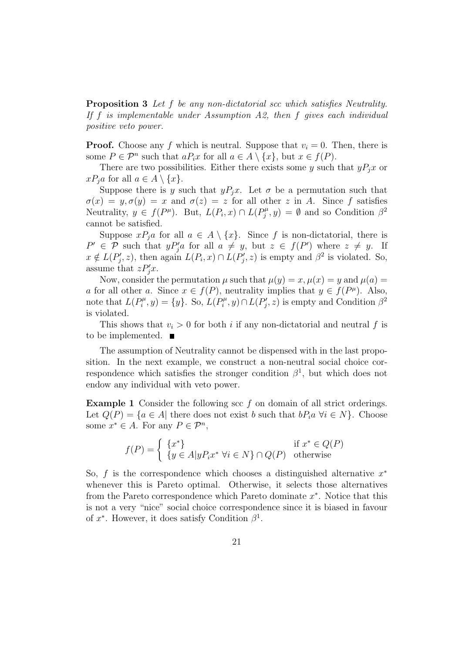Proposition 3 Let f be any non-dictatorial scc which satisfies Neutrality. If f is implementable under Assumption A2, then f gives each individual positive veto power.

**Proof.** Choose any f which is neutral. Suppose that  $v_i = 0$ . Then, there is some  $P \in \mathcal{P}^n$  such that  $aP_ix$  for all  $a \in A \setminus \{x\}$ , but  $x \in f(P)$ .

There are two possibilities. Either there exists some y such that  $yP_ix$  or  $xP_ia$  for all  $a \in A \setminus \{x\}.$ 

Suppose there is y such that  $yP_jx$ . Let  $\sigma$  be a permutation such that  $\sigma(x) = y, \sigma(y) = x$  and  $\sigma(z) = z$  for all other z in A. Since f satisfies Neutrality,  $y \in f(P^{\mu})$ . But,  $L(P_i, x) \cap L(P_i^{\mu})$  $\partial_j^{\mu}, y$  = Ø and so Condition  $\beta^2$ cannot be satisfied.

Suppose  $xP_ia$  for all  $a \in A \setminus \{x\}$ . Since f is non-dictatorial, there is  $P' \in \mathcal{P}$  such that  $yP'_ja$  for all  $a \neq y$ , but  $z \in f(P')$  where  $z \neq y$ . If  $x \notin L(P'_j, z)$ , then again  $L(P_i, x) \cap L(P'_j, z)$  is empty and  $\beta^2$  is violated. So, assume that  $zP'_jx$ .

Now, consider the permutation  $\mu$  such that  $\mu(y) = x, \mu(x) = y$  and  $\mu(a) =$ a for all other a. Since  $x \in f(P)$ , neutrality implies that  $y \in f(P^{\mu})$ . Also, note that  $L(P_i^{\mu})$  $p_i^{\mu}, y$  = {y}. So,  $L(P_i^{\mu})$  $D_i^{\mu}, y) \cap L(P'_j, z)$  is empty and Condition  $\beta^2$ is violated.

This shows that  $v_i > 0$  for both i if any non-dictatorial and neutral f is to be implemented.

The assumption of Neutrality cannot be dispensed with in the last proposition. In the next example, we construct a non-neutral social choice correspondence which satisfies the stronger condition  $\beta^1$ , but which does not endow any individual with veto power.

Example 1 Consider the following scc f on domain of all strict orderings. Let  $Q(P) = \{a \in A | \text{ there does not exist } b \text{ such that } bP_i a \forall i \in N \}.$  Choose some  $x^* \in A$ . For any  $P \in \mathcal{P}^n$ ,

$$
f(P) = \begin{cases} \{x^*\} & \text{if } x^* \in Q(P) \\ \{y \in A | yP_i x^* \,\,\forall i \in N\} \cap Q(P) & \text{otherwise} \end{cases}
$$

So,  $f$  is the correspondence which chooses a distinguished alternative  $x^*$ whenever this is Pareto optimal. Otherwise, it selects those alternatives from the Pareto correspondence which Pareto dominate  $x^*$ . Notice that this is not a very "nice" social choice correspondence since it is biased in favour of  $x^*$ . However, it does satisfy Condition  $\beta^1$ .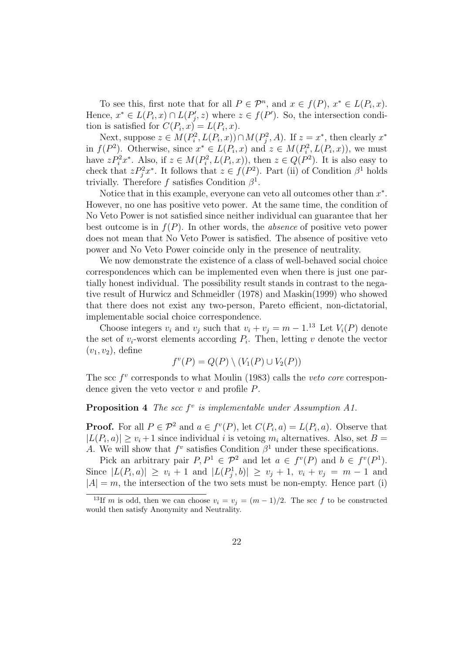To see this, first note that for all  $P \in \mathcal{P}^n$ , and  $x \in f(P)$ ,  $x^* \in L(P_i, x)$ . Hence,  $x^* \in L(P_i, x) \cap L(P'_j, z)$  where  $z \in f(P')$ . So, the intersection condition is satisfied for  $C(P_i, x) = L(P_i, x)$ .

Next, suppose  $z \in M(P_i^2, L(P_i, x)) \cap M(P_j^2, A)$ . If  $z = x^*$ , then clearly  $x^*$ in  $f(P^2)$ . Otherwise, since  $x^* \in L(P_i, x)$  and  $z \in M(P_i^2, L(P_i, x))$ , we must have  $zP_i^2x^*$ . Also, if  $z \in M(P_i^2, L(P_i, x))$ , then  $z \in Q(P^2)$ . It is also easy to check that  $zP_j^2x^*$ . It follows that  $z \in f(P^2)$ . Part (ii) of Condition  $\beta^1$  holds trivially. Therefore f satisfies Condition  $\beta^1$ .

Notice that in this example, everyone can veto all outcomes other than  $x^*$ . However, no one has positive veto power. At the same time, the condition of No Veto Power is not satisfied since neither individual can guarantee that her best outcome is in  $f(P)$ . In other words, the *absence* of positive veto power does not mean that No Veto Power is satisfied. The absence of positive veto power and No Veto Power coincide only in the presence of neutrality.

We now demonstrate the existence of a class of well-behaved social choice correspondences which can be implemented even when there is just one partially honest individual. The possibility result stands in contrast to the negative result of Hurwicz and Schmeidler (1978) and Maskin(1999) who showed that there does not exist any two-person, Pareto efficient, non-dictatorial, implementable social choice correspondence.

Choose integers  $v_i$  and  $v_j$  such that  $v_i + v_j = m - 1$ .<sup>13</sup> Let  $V_i(P)$  denote the set of  $v_i$ -worst elements according  $P_i$ . Then, letting v denote the vector  $(v_1, v_2)$ , define

$$
f^v(P) = Q(P) \setminus (V_1(P) \cup V_2(P))
$$

The scc  $f^v$  corresponds to what Moulin (1983) calls the veto core correspondence given the veto vector  $v$  and profile  $P$ .

#### **Proposition 4** The scc  $f^v$  is implementable under Assumption A1.

**Proof.** For all  $P \in \mathcal{P}^2$  and  $a \in f^v(P)$ , let  $C(P_i, a) = L(P_i, a)$ . Observe that  $|L(P_i, a)| \ge v_i + 1$  since individual i is vetoing  $m_i$  alternatives. Also, set  $B =$ A. We will show that  $f^v$  satisfies Condition  $\beta^1$  under these specifications.

Pick an arbitrary pair  $P, P^1 \in \mathcal{P}^2$  and let  $a \in f^v(P)$  and  $b \in f^v(P^1)$ . Since  $|L(P_i, a)| \ge v_i + 1$  and  $|L(P_j^1, b)| \ge v_j + 1$ ,  $v_i + v_j = m - 1$  and  $|A| = m$ , the intersection of the two sets must be non-empty. Hence part (i)

<sup>&</sup>lt;sup>13</sup>If m is odd, then we can choose  $v_i = v_j = (m-1)/2$ . The scc f to be constructed would then satisfy Anonymity and Neutrality.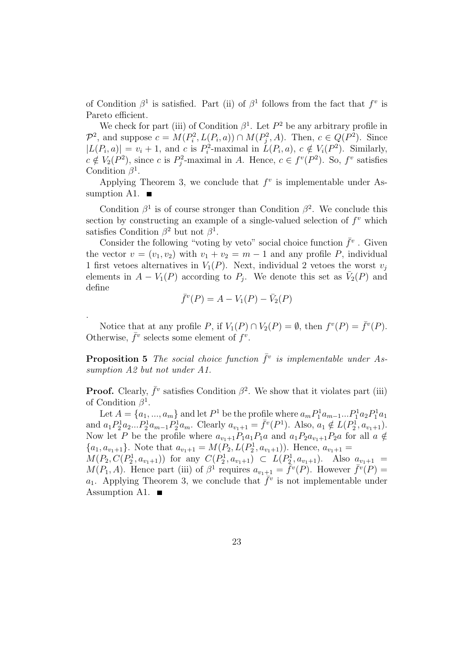of Condition  $\beta^1$  is satisfied. Part (ii) of  $\beta^1$  follows from the fact that  $f^v$  is Pareto efficient.

We check for part (iii) of Condition  $\beta^1$ . Let  $P^2$  be any arbitrary profile in  $\mathcal{P}^2$ , and suppose  $c = M(P_i^2, L(P_i, a)) \cap M(P_j^2, A)$ . Then,  $c \in Q(P^2)$ . Since  $|L(P_i, a)| = v_i + 1$ , and c is  $P_i^2$ -maximal in  $\tilde{L}(P_i, a)$ ,  $c \notin V_i(P^2)$ . Similarly,  $c \notin V_2(P^2)$ , since c is  $P_j^2$ -maximal in A. Hence,  $c \in f^v(P^2)$ . So,  $f^v$  satisfies Condition  $\beta^1$ .

Applying Theorem 3, we conclude that  $f^v$  is implementable under Assumption A1.  $\blacksquare$ 

Condition  $\beta^1$  is of course stronger than Condition  $\beta^2$ . We conclude this section by constructing an example of a single-valued selection of  $f^v$  which satisfies Condition  $\beta^2$  but not  $\beta^1$ .

Consider the following "voting by veto" social choice function  $\bar{f}^v$ . Given the vector  $v = (v_1, v_2)$  with  $v_1 + v_2 = m - 1$  and any profile P, individual 1 first vetoes alternatives in  $V_1(P)$ . Next, individual 2 vetoes the worst  $v_i$ elements in  $A - V_1(P)$  according to  $P_j$ . We denote this set as  $\bar{V}_2(P)$  and define

$$
\bar{f}^v(P) = A - V_1(P) - \bar{V}_2(P)
$$

Notice that at any profile P, if  $V_1(P) \cap V_2(P) = \emptyset$ , then  $f^v(P) = \overline{f}^v(P)$ . Otherwise,  $\bar{f}^v$  selects some element of  $f^v$ .

.

**Proposition 5** The social choice function  $\bar{f}^v$  is implementable under Assumption A2 but not under A1.

**Proof.** Clearly,  $\bar{f}^v$  satisfies Condition  $\beta^2$ . We show that it violates part (iii) of Condition  $\beta^1$ .

Let  $A = \{a_1, ..., a_m\}$  and let  $P^1$  be the profile where  $a_m P_1^1 a_{m-1} ... P_1^1 a_2 P_1^1 a_1$ and  $a_1 P_2^1 a_2 ... P_2^1 a_{m-1} P_2^1 a_m$ . Clearly  $a_{v_1+1} = \overline{f}^v(P^1)$ . Also,  $a_1 \notin L(P_2^1, a_{v_1+1})$ . Now let P be the profile where  $a_{v_1+1}P_1a_1P_1a$  and  $a_1P_2a_{v_1+1}P_2a$  for all  $a \notin$  ${a_1, a_{v_1+1}}$ . Note that  $a_{v_1+1} = M(P_2, L(P_2^1, a_{v_1+1}))$ . Hence,  $a_{v_1+1} =$  $M(P_2, C(P_2^1, a_{v_1+1}))$  for any  $C(P_2^1, a_{v_1+1}) \subset L(P_2^1, a_{v_1+1})$ . Also  $a_{v_1+1} =$ 

 $M(P_1, A)$ . Hence part (iii) of  $\beta^1$  requires  $a_{v_1+1} = \overline{f}^v(P)$ . However  $\overline{f}^v(P) =$  $a_1$ . Applying Theorem 3, we conclude that  $\bar{f}^v$  is not implementable under Assumption A1.  $\blacksquare$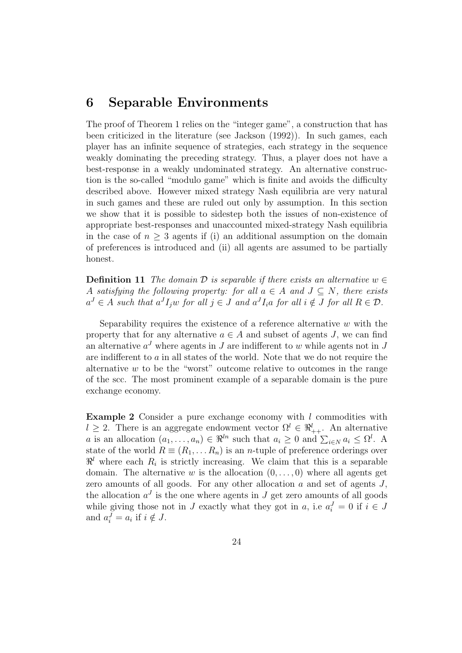### 6 Separable Environments

The proof of Theorem 1 relies on the "integer game", a construction that has been criticized in the literature (see Jackson (1992)). In such games, each player has an infinite sequence of strategies, each strategy in the sequence weakly dominating the preceding strategy. Thus, a player does not have a best-response in a weakly undominated strategy. An alternative construction is the so-called "modulo game" which is finite and avoids the difficulty described above. However mixed strategy Nash equilibria are very natural in such games and these are ruled out only by assumption. In this section we show that it is possible to sidestep both the issues of non-existence of appropriate best-responses and unaccounted mixed-strategy Nash equilibria in the case of  $n \geq 3$  agents if (i) an additional assumption on the domain of preferences is introduced and (ii) all agents are assumed to be partially honest.

**Definition 11** The domain D is separable if there exists an alternative  $w \in$ A satisfying the following property: for all  $a \in A$  and  $J \subseteq N$ , there exists  $a^J \in A$  such that  $a^J I_j w$  for all  $j \in J$  and  $a^J I_i a$  for all  $i \notin J$  for all  $R \in \mathcal{D}$ .

Separability requires the existence of a reference alternative  $w$  with the property that for any alternative  $a \in A$  and subset of agents J, we can find an alternative  $a<sup>J</sup>$  where agents in J are indifferent to w while agents not in J are indifferent to  $a$  in all states of the world. Note that we do not require the alternative  $w$  to be the "worst" outcome relative to outcomes in the range of the scc. The most prominent example of a separable domain is the pure exchange economy.

**Example 2** Consider a pure exchange economy with  $l$  commodities with  $l \geq 2$ . There is an aggregate endowment vector  $\Omega^l \in \mathbb{R}^l_{++}$ . An alternative *a* is an allocation  $(a_1, \ldots, a_n) \in \mathbb{R}^{ln}$  such that  $a_i \geq 0$  and  $\sum_{i \in N} a_i \leq \Omega^l$ . A state of the world  $R \equiv (R_1, \ldots R_n)$  is an *n*-tuple of preference orderings over  $\mathbb{R}^l$  where each  $R_i$  is strictly increasing. We claim that this is a separable domain. The alternative w is the allocation  $(0, \ldots, 0)$  where all agents get zero amounts of all goods. For any other allocation  $a$  and set of agents  $J$ , the allocation  $a<sup>J</sup>$  is the one where agents in J get zero amounts of all goods while giving those not in J exactly what they got in a, i.e  $a_i^J = 0$  if  $i \in J$ and  $a_i^J = a_i$  if  $i \notin J$ .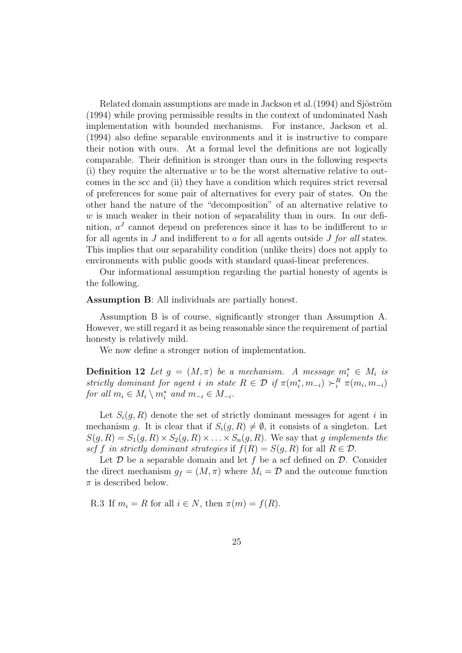Related domain assumptions are made in Jackson et al. (1994) and Sjöström (1994) while proving permissible results in the context of undominated Nash implementation with bounded mechanisms. For instance, Jackson et al. (1994) also define separable environments and it is instructive to compare their notion with ours. At a formal level the definitions are not logically comparable. Their definition is stronger than ours in the following respects (i) they require the alternative w to be the worst alternative relative to outcomes in the scc and (ii) they have a condition which requires strict reversal of preferences for some pair of alternatives for every pair of states. On the other hand the nature of the "decomposition" of an alternative relative to  $w$  is much weaker in their notion of separability than in ours. In our definition,  $a<sup>J</sup>$  cannot depend on preferences since it has to be indifferent to w for all agents in  $J$  and indifferent to  $a$  for all agents outside  $J$  for all states. This implies that our separability condition (unlike theirs) does not apply to environments with public goods with standard quasi-linear preferences.

Our informational assumption regarding the partial honesty of agents is the following.

Assumption B: All individuals are partially honest.

Assumption B is of course, significantly stronger than Assumption A. However, we still regard it as being reasonable since the requirement of partial honesty is relatively mild.

We now define a stronger notion of implementation.

**Definition 12** Let  $g = (M, \pi)$  be a mechanism. A message  $m_i^* \in M_i$  is strictly dominant for agent i in state  $R \in \mathcal{D}$  if  $\pi(m_i^*, m_{-i}) \succ_i^R \pi(m_i, m_{-i})$ for all  $m_i \in M_i \setminus m_i^*$  and  $m_{-i} \in M_{-i}$ .

Let  $S_i(g, R)$  denote the set of strictly dominant messages for agent i in mechanism g. It is clear that if  $S_i(g, R) \neq \emptyset$ , it consists of a singleton. Let  $S(g, R) = S_1(g, R) \times S_2(g, R) \times \ldots \times S_n(g, R)$ . We say that g implements the scf f in strictly dominant strategies if  $f(R) = S(g, R)$  for all  $R \in \mathcal{D}$ .

Let  $\mathcal D$  be a separable domain and let f be a scf defined on  $\mathcal D$ . Consider the direct mechanism  $g_f = (M, \pi)$  where  $M_i = \mathcal{D}$  and the outcome function  $\pi$  is described below.

R.3 If  $m_i = R$  for all  $i \in N$ , then  $\pi(m) = f(R)$ .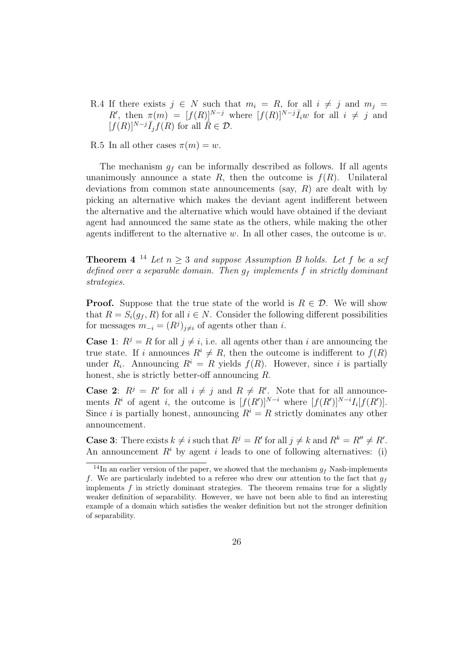R.4 If there exists  $j \in N$  such that  $m_i = R$ , for all  $i \neq j$  and  $m_j =$ R', then  $\pi(m) = [f(R)]^{N-j}$  where  $[f(R)]^{N-j}$   $\overline{I}_i w$  for all  $i \neq j$  and  $[f(R)]^{N-j} \overline{I}_i f(R)$  for all  $\overline{R} \in \mathcal{D}$ .

R.5 In all other cases  $\pi(m) = w$ .

The mechanism  $g_f$  can be informally described as follows. If all agents unanimously announce a state R, then the outcome is  $f(R)$ . Unilateral deviations from common state announcements (say,  $R$ ) are dealt with by picking an alternative which makes the deviant agent indifferent between the alternative and the alternative which would have obtained if the deviant agent had announced the same state as the others, while making the other agents indifferent to the alternative w. In all other cases, the outcome is  $w$ .

**Theorem 4** <sup>14</sup> Let  $n \geq 3$  and suppose Assumption B holds. Let f be a scf defined over a separable domain. Then  $g_f$  implements  $f$  in strictly dominant strategies.

**Proof.** Suppose that the true state of the world is  $R \in \mathcal{D}$ . We will show that  $R = S_i(g_f, R)$  for all  $i \in N$ . Consider the following different possibilities for messages  $m_{-i} = (R^j)_{j \neq i}$  of agents other than *i*.

**Case 1:**  $R^j = R$  for all  $j \neq i$ , i.e. all agents other than i are announcing the true state. If i announces  $R^i \neq R$ , then the outcome is indifferent to  $f(R)$ under  $R_i$ . Announcing  $R^i = R$  yields  $f(R)$ . However, since i is partially honest, she is strictly better-off announcing R.

**Case 2:**  $R^j = R'$  for all  $i \neq j$  and  $R \neq R'$ . Note that for all announcements  $R^i$  of agent i, the outcome is  $[f(R')]^{N-i}$  where  $[f(R')]^{N-i}I_i[f(R')]$ . Since i is partially honest, announcing  $R^i = R$  strictly dominates any other announcement.

**Case 3:** There exists  $k \neq i$  such that  $R^j = R'$  for all  $j \neq k$  and  $R^k = R'' \neq R'$ . An announcement  $R<sup>i</sup>$  by agent i leads to one of following alternatives: (i)

<sup>&</sup>lt;sup>14</sup>In an earlier version of the paper, we showed that the mechanism  $g_f$  Nash-implements f. We are particularly indebted to a referee who drew our attention to the fact that  $g_f$ implements  $f$  in strictly dominant strategies. The theorem remains true for a slightly weaker definition of separability. However, we have not been able to find an interesting example of a domain which satisfies the weaker definition but not the stronger definition of separability.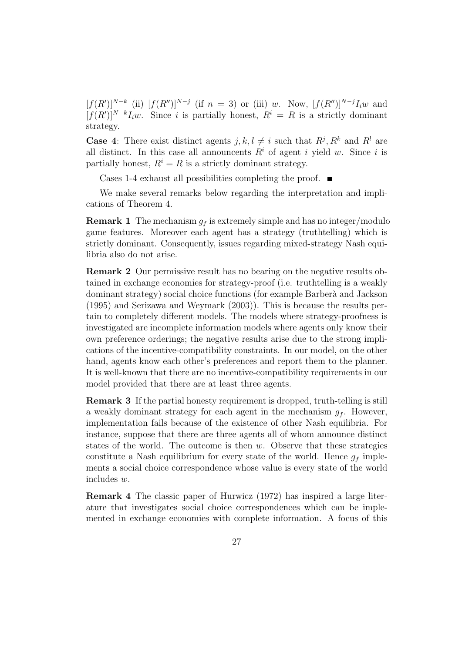$[f(R')]^{N-k}$  (ii)  $[f(R'')]^{N-j}$  (if  $n = 3$ ) or (iii) w. Now,  $[f(R'')]^{N-j}I_i w$  and  $[f(R')]^{N-k}I_i w$ . Since i is partially honest,  $R^i = R$  is a strictly dominant strategy.

**Case 4:** There exist distinct agents  $j, k, l \neq i$  such that  $R^j, R^k$  and  $R^l$  are all distinct. In this case all announcents  $R<sup>i</sup>$  of agent i yield w. Since i is partially honest,  $R^i = R$  is a strictly dominant strategy.

Cases 1-4 exhaust all possibilities completing the proof.  $\blacksquare$ 

We make several remarks below regarding the interpretation and implications of Theorem 4.

**Remark 1** The mechanism  $g_f$  is extremely simple and has no integer/modulo game features. Moreover each agent has a strategy (truthtelling) which is strictly dominant. Consequently, issues regarding mixed-strategy Nash equilibria also do not arise.

Remark 2 Our permissive result has no bearing on the negative results obtained in exchange economies for strategy-proof (i.e. truthtelling is a weakly dominant strategy) social choice functions (for example Barber`a and Jackson (1995) and Serizawa and Weymark (2003)). This is because the results pertain to completely different models. The models where strategy-proofness is investigated are incomplete information models where agents only know their own preference orderings; the negative results arise due to the strong implications of the incentive-compatibility constraints. In our model, on the other hand, agents know each other's preferences and report them to the planner. It is well-known that there are no incentive-compatibility requirements in our model provided that there are at least three agents.

Remark 3 If the partial honesty requirement is dropped, truth-telling is still a weakly dominant strategy for each agent in the mechanism  $g_f$ . However, implementation fails because of the existence of other Nash equilibria. For instance, suppose that there are three agents all of whom announce distinct states of the world. The outcome is then  $w$ . Observe that these strategies constitute a Nash equilibrium for every state of the world. Hence  $g_f$  implements a social choice correspondence whose value is every state of the world includes w.

Remark 4 The classic paper of Hurwicz (1972) has inspired a large literature that investigates social choice correspondences which can be implemented in exchange economies with complete information. A focus of this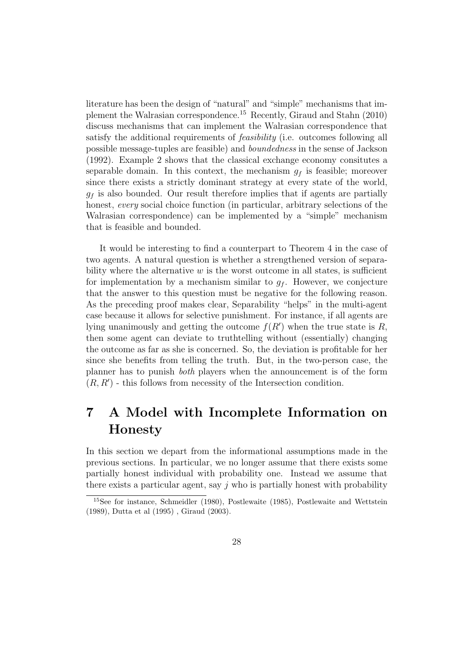literature has been the design of "natural" and "simple" mechanisms that implement the Walrasian correspondence.<sup>15</sup> Recently, Giraud and Stahn (2010) discuss mechanisms that can implement the Walrasian correspondence that satisfy the additional requirements of feasibility (i.e. outcomes following all possible message-tuples are feasible) and boundedness in the sense of Jackson (1992). Example 2 shows that the classical exchange economy consitutes a separable domain. In this context, the mechanism  $g_f$  is feasible; moreover since there exists a strictly dominant strategy at every state of the world,  $g_f$  is also bounded. Our result therefore implies that if agents are partially honest, *every* social choice function (in particular, arbitrary selections of the Walrasian correspondence) can be implemented by a "simple" mechanism that is feasible and bounded.

It would be interesting to find a counterpart to Theorem 4 in the case of two agents. A natural question is whether a strengthened version of separability where the alternative  $w$  is the worst outcome in all states, is sufficient for implementation by a mechanism similar to  $g_f$ . However, we conjecture that the answer to this question must be negative for the following reason. As the preceding proof makes clear, Separability "helps" in the multi-agent case because it allows for selective punishment. For instance, if all agents are lying unanimously and getting the outcome  $f(R')$  when the true state is R, then some agent can deviate to truthtelling without (essentially) changing the outcome as far as she is concerned. So, the deviation is profitable for her since she benefits from telling the truth. But, in the two-person case, the planner has to punish both players when the announcement is of the form  $(R, R')$  - this follows from necessity of the Intersection condition.

## 7 A Model with Incomplete Information on Honesty

In this section we depart from the informational assumptions made in the previous sections. In particular, we no longer assume that there exists some partially honest individual with probability one. Instead we assume that there exists a particular agent, say  $j$  who is partially honest with probability

<sup>15</sup>See for instance, Schmeidler (1980), Postlewaite (1985), Postlewaite and Wettstein (1989), Dutta et al (1995) , Giraud (2003).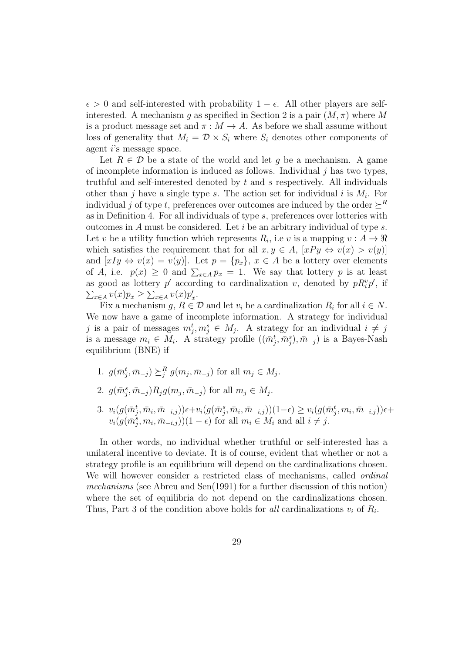$\epsilon > 0$  and self-interested with probability  $1 - \epsilon$ . All other players are selfinterested. A mechanism q as specified in Section 2 is a pair  $(M, \pi)$  where M is a product message set and  $\pi : M \to A$ . As before we shall assume without loss of generality that  $M_i = \mathcal{D} \times S_i$  where  $S_i$  denotes other components of agent i's message space.

Let  $R \in \mathcal{D}$  be a state of the world and let q be a mechanism. A game of incomplete information is induced as follows. Individual  $j$  has two types, truthful and self-interested denoted by  $t$  and  $s$  respectively. All individuals other than j have a single type s. The action set for individual i is  $M_i$ . For individual j of type t, preferences over outcomes are induced by the order  $\succeq^R$ as in Definition 4. For all individuals of type s, preferences over lotteries with outcomes in A must be considered. Let i be an arbitrary individual of type s. Let v be a utility function which represents  $R_i$ , i.e v is a mapping  $v : A \to \Re$ which satisfies the requirement that for all  $x, y \in A$ ,  $[xPy \Leftrightarrow v(x) > v(y)]$ and  $[xIy \Leftrightarrow v(x) = v(y)]$ . Let  $p = \{p_x\}, x \in A$  be a lottery over elements of A, i.e.  $p(x) \geq 0$  and  $\sum_{x \in A} p_x = 1$ . We say that lottery p is at least as good as lottery  $p'$  according to cardinalization v, denoted by  $pR_i^vp'$ , if  $\sum_{x \in A} v(x) p_x \geq \sum_{x \in A} v(x) p'_x.$ 

Fix a mechanism  $g, R \in \mathcal{D}$  and let  $v_i$  be a cardinalization  $R_i$  for all  $i \in N$ . We now have a game of incomplete information. A strategy for individual j is a pair of messages  $m_j^t, m_j^s \in M_j$ . A strategy for an individual  $i \neq j$ is a message  $m_i \in M_i$ . A strategy profile  $((\bar{m}_j^t, \bar{m}_j^s), \bar{m}_{-j})$  is a Bayes-Nash equilibrium (BNE) if

- 1.  $g(\bar{m}_j^t, \bar{m}_{-j}) \succeq_j^R g(m_j, \bar{m}_{-j})$  for all  $m_j \in M_j$ .
- 2.  $g(\bar{m}_j^s, \bar{m}_{-j}) R_j g(m_j, \bar{m}_{-j})$  for all  $m_j \in M_j$ .
- 3.  $v_i(g(\bar{m}_j^t, \bar{m}_i, \bar{m}_{-i,j}))\epsilon + v_i(g(\bar{m}_j^s, \bar{m}_i, \bar{m}_{-i,j}))(1-\epsilon) \ge v_i(g(\bar{m}_j^t, m_i, \bar{m}_{-i,j}))\epsilon +$  $v_i(g(\bar{m}_j^s, m_i, \bar{m}_{-i,j}))(1-\epsilon)$  for all  $m_i \in M_i$  and all  $i \neq j$ .

In other words, no individual whether truthful or self-interested has a unilateral incentive to deviate. It is of course, evident that whether or not a strategy profile is an equilibrium will depend on the cardinalizations chosen. We will however consider a restricted class of mechanisms, called *ordinal* mechanisms (see Abreu and Sen(1991) for a further discussion of this notion) where the set of equilibria do not depend on the cardinalizations chosen. Thus, Part 3 of the condition above holds for all cardinalizations  $v_i$  of  $R_i$ .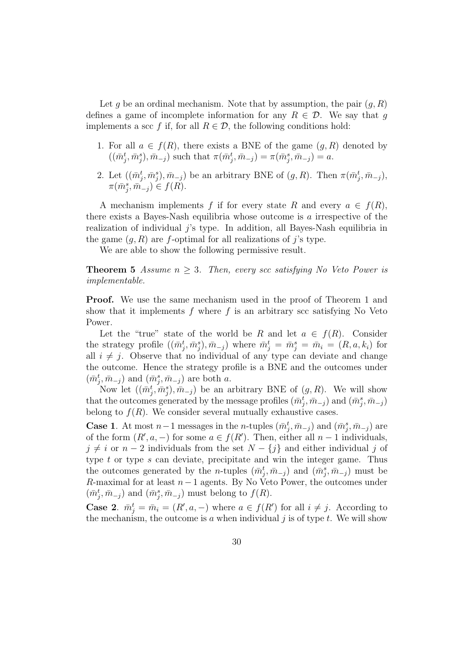Let g be an ordinal mechanism. Note that by assumption, the pair  $(g, R)$ defines a game of incomplete information for any  $R \in \mathcal{D}$ . We say that q implements a scc f if, for all  $R \in \mathcal{D}$ , the following conditions hold:

- 1. For all  $a \in f(R)$ , there exists a BNE of the game  $(g, R)$  denoted by  $((\bar{m}_j^t, \bar{m}_j^s), \bar{m}_{-j})$  such that  $\pi(\bar{m}_j^t, \bar{m}_{-j}) = \pi(\bar{m}_j^s, \bar{m}_{-j}) = a$ .
- 2. Let  $((\bar{m}_j^t, \bar{m}_j^s), \bar{m}_{-j})$  be an arbitrary BNE of  $(g, R)$ . Then  $\pi(\bar{m}_j^t, \bar{m}_{-j}),$  $\pi(\bar{m}_j^s, \bar{m}_{-j}) \in f(R)$ .

A mechanism implements f if for every state R and every  $a \in f(R)$ , there exists a Bayes-Nash equilibria whose outcome is a irrespective of the realization of individual j's type. In addition, all Bayes-Nash equilibria in the game  $(q, R)$  are f-optimal for all realizations of j's type.

We are able to show the following permissive result.

**Theorem 5** Assume  $n \geq 3$ . Then, every scc satisfying No Veto Power is implementable.

Proof. We use the same mechanism used in the proof of Theorem 1 and show that it implements f where f is an arbitrary scc satisfying No Veto Power.

Let the "true" state of the world be R and let  $a \in f(R)$ . Consider the strategy profile  $((\bar{m}_j^t, \bar{m}_j^s), \bar{m}_{-j})$  where  $\bar{m}_j^t = \bar{m}_j^s = \bar{m}_i = (R, a, k_i)$  for all  $i \neq j$ . Observe that no individual of any type can deviate and change the outcome. Hence the strategy profile is a BNE and the outcomes under  $(\bar{m}_j^t, \bar{m}_{-j})$  and  $(\bar{m}_j^s, \bar{m}_{-j})$  are both a.

Now let  $((\bar{m}_j^t, \bar{m}_j^s), \bar{m}_{-j})$  be an arbitrary BNE of  $(g, R)$ . We will show that the outcomes generated by the message profiles  $(\bar{m}_j^t, \bar{m}_{-j})$  and  $(\bar{m}_j^s, \bar{m}_{-j})$ belong to  $f(R)$ . We consider several mutually exhaustive cases.

**Case 1**. At most  $n-1$  messages in the *n*-tuples  $(\bar{m}_j^t, \bar{m}_{-j})$  and  $(\bar{m}_j^s, \bar{m}_{-j})$  are of the form  $(R', a, -)$  for some  $a \in f(R')$ . Then, either all  $n-1$  individuals,  $j \neq i$  or  $n-2$  individuals from the set  $N - \{j\}$  and either individual j of type t or type s can deviate, precipitate and win the integer game. Thus the outcomes generated by the *n*-tuples  $(\bar{m}_j^t, \bar{m}_{-j})$  and  $(\bar{m}_j^s, \bar{m}_{-j})$  must be R-maximal for at least  $n-1$  agents. By No Veto Power, the outcomes under  $(\bar{m}_j^t, \bar{m}_{-j})$  and  $(\bar{m}_j^s, \bar{m}_{-j})$  must belong to  $f(R)$ .

**Case 2.**  $\bar{m}_j^t = \bar{m}_i = (R', a, -)$  where  $a \in f(R')$  for all  $i \neq j$ . According to the mechanism, the outcome is a when individual j is of type t. We will show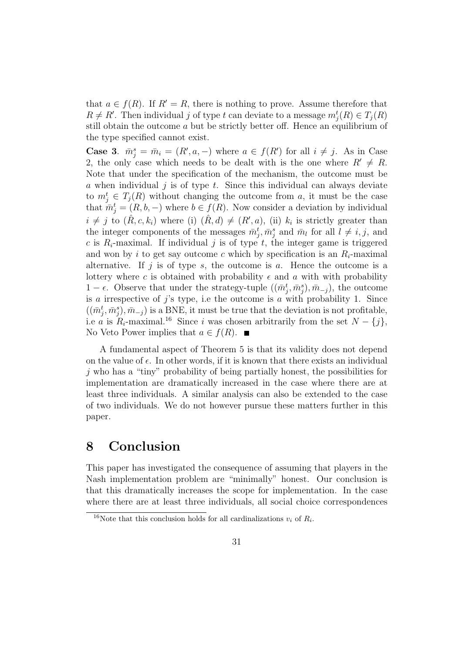that  $a \in f(R)$ . If  $R' = R$ , there is nothing to prove. Assume therefore that  $R \neq R'$ . Then individual j of type t can deviate to a message  $m_j^t(R) \in T_j(R)$ still obtain the outcome a but be strictly better off. Hence an equilibrium of the type specified cannot exist.

**Case 3.**  $\bar{m}_j^s = \bar{m}_i = (R', a, -)$  where  $a \in f(R')$  for all  $i \neq j$ . As in Case 2, the only case which needs to be dealt with is the one where  $R' \neq R$ . Note that under the specification of the mechanism, the outcome must be a when individual j is of type t. Since this individual can always deviate to  $m_j^t \in T_j(R)$  without changing the outcome from a, it must be the case that  $\overline{m}_j^t = (R, b, -)$  where  $b \in f(R)$ . Now consider a deviation by individual  $i \neq j$  to  $(\hat{R}, c, k_i)$  where (i)  $(\hat{R}, d) \neq (R', a)$ , (ii)  $k_i$  is strictly greater than the integer components of the messages  $\bar{m}_j^t$ ,  $\bar{m}_j^s$  and  $\bar{m}_l$  for all  $l \neq i, j$ , and c is  $R_i$ -maximal. If individual j is of type t, the integer game is triggered and won by i to get say outcome c which by specification is an  $R_i$ -maximal alternative. If  $j$  is of type  $s$ , the outcome is  $a$ . Hence the outcome is a lottery where c is obtained with probability  $\epsilon$  and a with with probability 1 −  $\epsilon$ . Observe that under the strategy-tuple  $((\bar{m}_j^t, \bar{m}_j^s), \bar{m}_{-j}),$  the outcome is a irrespective of  $j$ 's type, i.e the outcome is a with probability 1. Since  $((\bar{m}_j^t, \bar{m}_j^s), \bar{m}_{-j})$  is a BNE, it must be true that the deviation is not profitable, i.e a is  $R_i$ -maximal.<sup>16</sup> Since i was chosen arbitrarily from the set  $N - \{j\}$ , No Veto Power implies that  $a \in f(R)$ .

A fundamental aspect of Theorem 5 is that its validity does not depend on the value of  $\epsilon$ . In other words, if it is known that there exists an individual  $j$  who has a "tiny" probability of being partially honest, the possibilities for implementation are dramatically increased in the case where there are at least three individuals. A similar analysis can also be extended to the case of two individuals. We do not however pursue these matters further in this paper.

### 8 Conclusion

This paper has investigated the consequence of assuming that players in the Nash implementation problem are "minimally" honest. Our conclusion is that this dramatically increases the scope for implementation. In the case where there are at least three individuals, all social choice correspondences

<sup>&</sup>lt;sup>16</sup>Note that this conclusion holds for all cardinalizations  $v_i$  of  $R_i$ .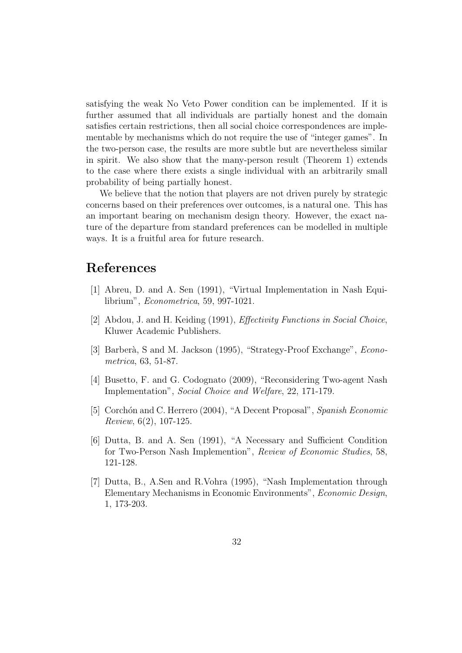satisfying the weak No Veto Power condition can be implemented. If it is further assumed that all individuals are partially honest and the domain satisfies certain restrictions, then all social choice correspondences are implementable by mechanisms which do not require the use of "integer games". In the two-person case, the results are more subtle but are nevertheless similar in spirit. We also show that the many-person result (Theorem 1) extends to the case where there exists a single individual with an arbitrarily small probability of being partially honest.

We believe that the notion that players are not driven purely by strategic concerns based on their preferences over outcomes, is a natural one. This has an important bearing on mechanism design theory. However, the exact nature of the departure from standard preferences can be modelled in multiple ways. It is a fruitful area for future research.

### References

- [1] Abreu, D. and A. Sen (1991), "Virtual Implementation in Nash Equilibrium", Econometrica, 59, 997-1021.
- [2] Abdou, J. and H. Keiding (1991), Effectivity Functions in Social Choice, Kluwer Academic Publishers.
- [3] Barberà, S and M. Jackson (1995), "Strategy-Proof Exchange", *Econo*metrica, 63, 51-87.
- [4] Busetto, F. and G. Codognato (2009), "Reconsidering Two-agent Nash Implementation", Social Choice and Welfare, 22, 171-179.
- [5] Corchón and C. Herrero (2004), "A Decent Proposal", Spanish Economic Review, 6(2), 107-125.
- [6] Dutta, B. and A. Sen (1991), "A Necessary and Sufficient Condition for Two-Person Nash Implemention", Review of Economic Studies, 58, 121-128.
- [7] Dutta, B., A.Sen and R.Vohra (1995), "Nash Implementation through Elementary Mechanisms in Economic Environments", Economic Design, 1, 173-203.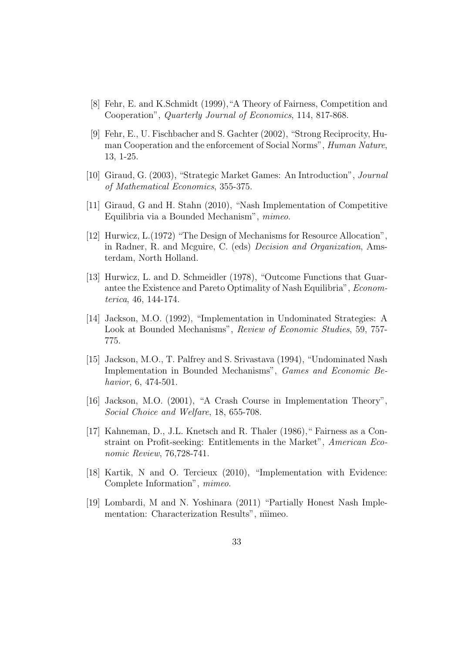- [8] Fehr, E. and K.Schmidt (1999),"A Theory of Fairness, Competition and Cooperation", Quarterly Journal of Economics, 114, 817-868.
- [9] Fehr, E., U. Fischbacher and S. Gachter (2002), "Strong Reciprocity, Human Cooperation and the enforcement of Social Norms", Human Nature, 13, 1-25.
- [10] Giraud, G. (2003), "Strategic Market Games: An Introduction", Journal of Mathematical Economics, 355-375.
- [11] Giraud, G and H. Stahn (2010), "Nash Implementation of Competitive Equilibria via a Bounded Mechanism", mimeo.
- [12] Hurwicz, L.(1972) "The Design of Mechanisms for Resource Allocation", in Radner, R. and Mcguire, C. (eds) Decision and Organization, Amsterdam, North Holland.
- [13] Hurwicz, L. and D. Schmeidler (1978), "Outcome Functions that Guarantee the Existence and Pareto Optimality of Nash Equilibria", Economterica, 46, 144-174.
- [14] Jackson, M.O. (1992), "Implementation in Undominated Strategies: A Look at Bounded Mechanisms", Review of Economic Studies, 59, 757- 775.
- [15] Jackson, M.O., T. Palfrey and S. Srivastava (1994), "Undominated Nash Implementation in Bounded Mechanisms", Games and Economic Behavior, 6, 474-501.
- [16] Jackson, M.O. (2001), "A Crash Course in Implementation Theory", Social Choice and Welfare, 18, 655-708.
- [17] Kahneman, D., J.L. Knetsch and R. Thaler (1986)," Fairness as a Constraint on Profit-seeking: Entitlements in the Market", American Economic Review, 76,728-741.
- [18] Kartik, N and O. Tercieux (2010), "Implementation with Evidence: Complete Information", mimeo.
- [19] Lombardi, M and N. Yoshinara (2011) "Partially Honest Nash Implementation: Characterization Results", mimeo.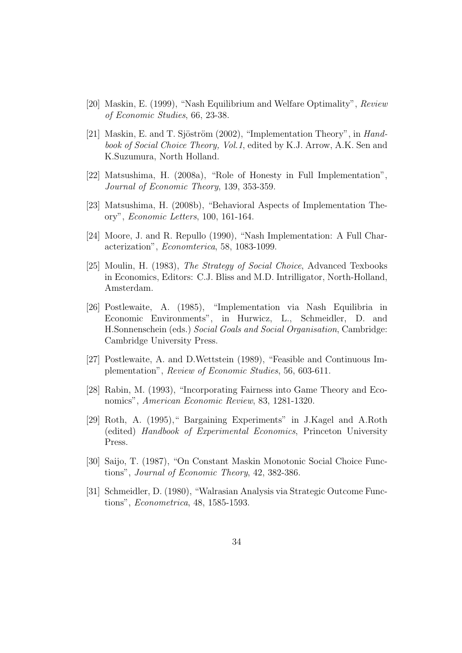- [20] Maskin, E. (1999), "Nash Equilibrium and Welfare Optimality", Review of Economic Studies, 66, 23-38.
- [21] Maskin, E. and T. Sjöström  $(2002)$ , "Implementation Theory", in Handbook of Social Choice Theory, Vol.1, edited by K.J. Arrow, A.K. Sen and K.Suzumura, North Holland.
- [22] Matsushima, H. (2008a), "Role of Honesty in Full Implementation", Journal of Economic Theory, 139, 353-359.
- [23] Matsushima, H. (2008b), "Behavioral Aspects of Implementation Theory", Economic Letters, 100, 161-164.
- [24] Moore, J. and R. Repullo (1990), "Nash Implementation: A Full Characterization", Economterica, 58, 1083-1099.
- [25] Moulin, H. (1983), The Strategy of Social Choice, Advanced Texbooks in Economics, Editors: C.J. Bliss and M.D. Intrilligator, North-Holland, Amsterdam.
- [26] Postlewaite, A. (1985), "Implementation via Nash Equilibria in Economic Environments", in Hurwicz, L., Schmeidler, D. and H.Sonnenschein (eds.) Social Goals and Social Organisation, Cambridge: Cambridge University Press.
- [27] Postlewaite, A. and D.Wettstein (1989), "Feasible and Continuous Implementation", Review of Economic Studies, 56, 603-611.
- [28] Rabin, M. (1993), "Incorporating Fairness into Game Theory and Economics", American Economic Review, 83, 1281-1320.
- [29] Roth, A. (1995)," Bargaining Experiments" in J.Kagel and A.Roth (edited) Handbook of Experimental Economics, Princeton University Press.
- [30] Saijo, T. (1987), "On Constant Maskin Monotonic Social Choice Functions", Journal of Economic Theory, 42, 382-386.
- [31] Schmeidler, D. (1980), "Walrasian Analysis via Strategic Outcome Functions", Econometrica, 48, 1585-1593.